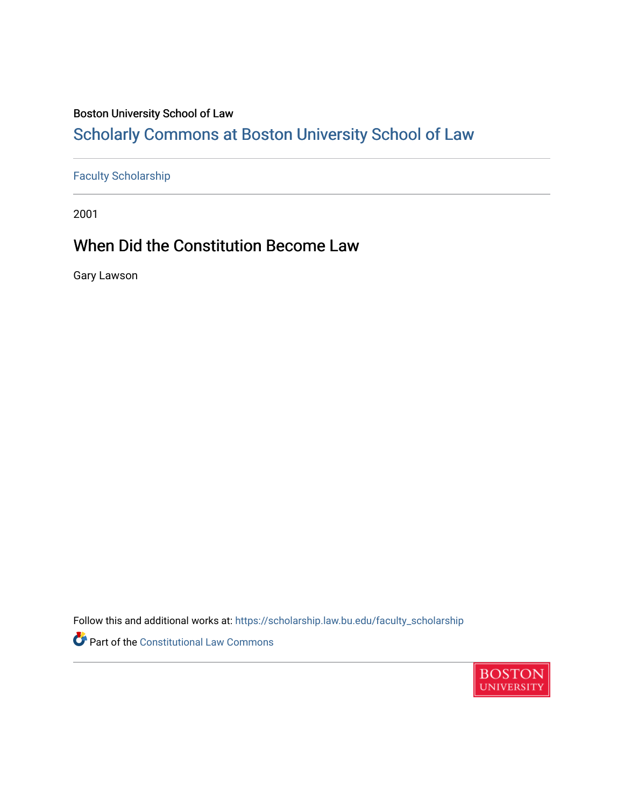### Boston University School of Law

# [Scholarly Commons at Boston University School of Law](https://scholarship.law.bu.edu/)

## [Faculty Scholarship](https://scholarship.law.bu.edu/faculty_scholarship)

2001

## When Did the Constitution Become Law

Gary Lawson

Follow this and additional works at: [https://scholarship.law.bu.edu/faculty\\_scholarship](https://scholarship.law.bu.edu/faculty_scholarship?utm_source=scholarship.law.bu.edu%2Ffaculty_scholarship%2F789&utm_medium=PDF&utm_campaign=PDFCoverPages)

Part of the [Constitutional Law Commons](http://network.bepress.com/hgg/discipline/589?utm_source=scholarship.law.bu.edu%2Ffaculty_scholarship%2F789&utm_medium=PDF&utm_campaign=PDFCoverPages) 

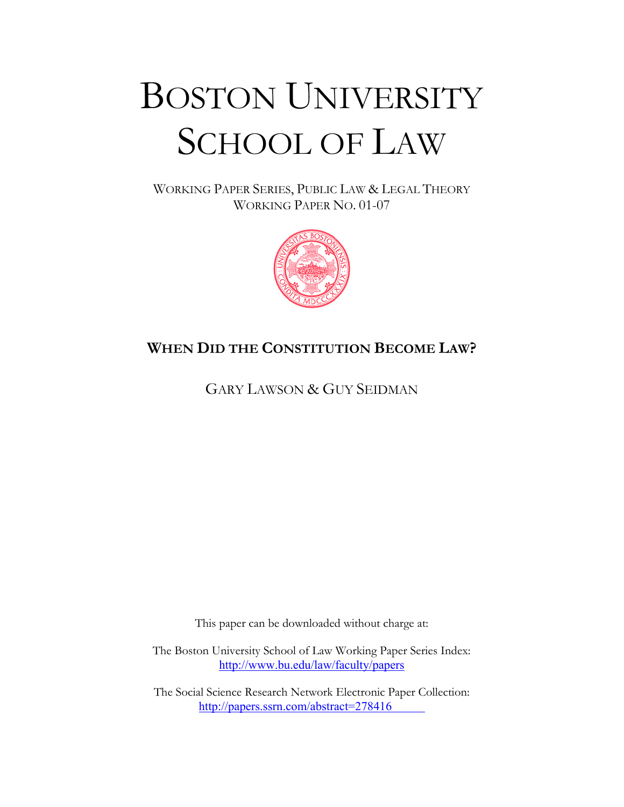# BOSTON UNIVERSITY SCHOOL OF LAW

WORKING PAPER SERIES, PUBLIC LAW & LEGAL THEORY WORKING PAPER NO. 01-07



## **WHEN DID THE CONSTITUTION BECOME LAW?**

GARY LAWSON & GUY SEIDMAN

This paper can be downloaded without charge at:

The Boston University School of Law Working Paper Series Index: http://www.bu.edu/law/faculty/papers

The Social Science Research Network Electronic Paper Collection: [http://papers.ssrn.com/abstract=](http://papers.ssrn.com/paper.taf?abstract_id=278416)278416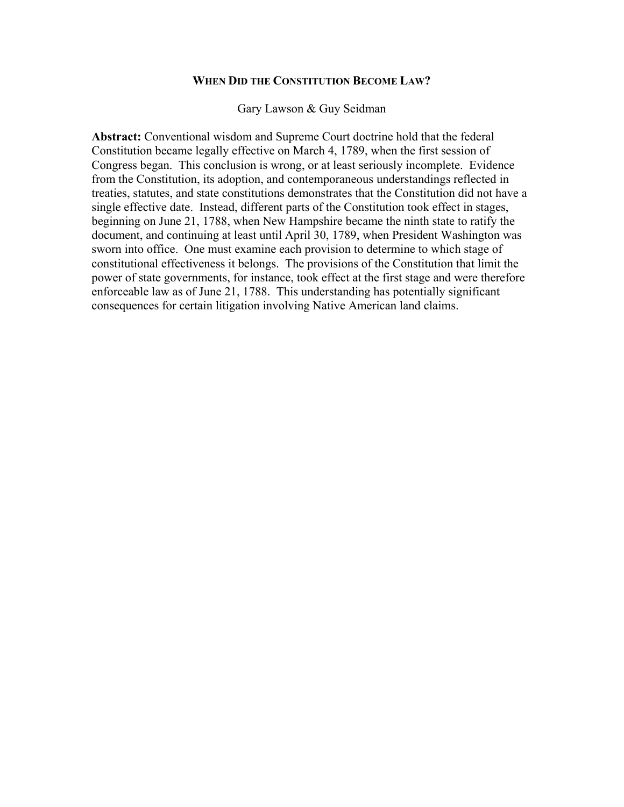#### **WHEN DID THE CONSTITUTION BECOME LAW?**

Gary Lawson & Guy Seidman

**Abstract:** Conventional wisdom and Supreme Court doctrine hold that the federal Constitution became legally effective on March 4, 1789, when the first session of Congress began. This conclusion is wrong, or at least seriously incomplete. Evidence from the Constitution, its adoption, and contemporaneous understandings reflected in treaties, statutes, and state constitutions demonstrates that the Constitution did not have a single effective date. Instead, different parts of the Constitution took effect in stages, beginning on June 21, 1788, when New Hampshire became the ninth state to ratify the document, and continuing at least until April 30, 1789, when President Washington was sworn into office. One must examine each provision to determine to which stage of constitutional effectiveness it belongs. The provisions of the Constitution that limit the power of state governments, for instance, took effect at the first stage and were therefore enforceable law as of June 21, 1788. This understanding has potentially significant consequences for certain litigation involving Native American land claims.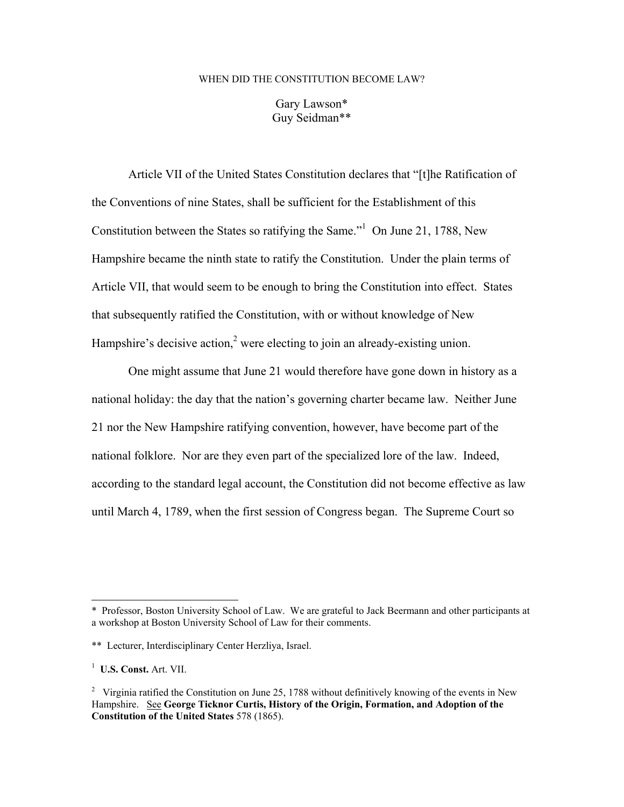#### WHEN DID THE CONSTITUTION BECOME LAW?

Gary Lawson\* Guy Seidman\*\*

 Article VII of the United States Constitution declares that "[t]he Ratification of the Conventions of nine States, shall be sufficient for the Establishment of this Constitution between the States so ratifying the Same."<sup>1</sup> On June 21, 1788, New Hampshire became the ninth state to ratify the Constitution. Under the plain terms of Article VII, that would seem to be enough to bring the Constitution into effect. States that subsequently ratified the Constitution, with or without knowledge of New Hampshire's decisive action,<sup>2</sup> were electing to join an already-existing union.

 One might assume that June 21 would therefore have gone down in history as a national holiday: the day that the nation's governing charter became law. Neither June 21 nor the New Hampshire ratifying convention, however, have become part of the national folklore. Nor are they even part of the specialized lore of the law. Indeed, according to the standard legal account, the Constitution did not become effective as law until March 4, 1789, when the first session of Congress began. The Supreme Court so

<sup>\*</sup> Professor, Boston University School of Law. We are grateful to Jack Beermann and other participants at a workshop at Boston University School of Law for their comments.

<sup>\*\*</sup> Lecturer, Interdisciplinary Center Herzliya, Israel.

<sup>1</sup> **U.S. Const.** Art. VII.

<sup>&</sup>lt;sup>2</sup> Virginia ratified the Constitution on June 25, 1788 without definitively knowing of the events in New Hampshire. See **George Ticknor Curtis, History of the Origin, Formation, and Adoption of the Constitution of the United States** 578 (1865).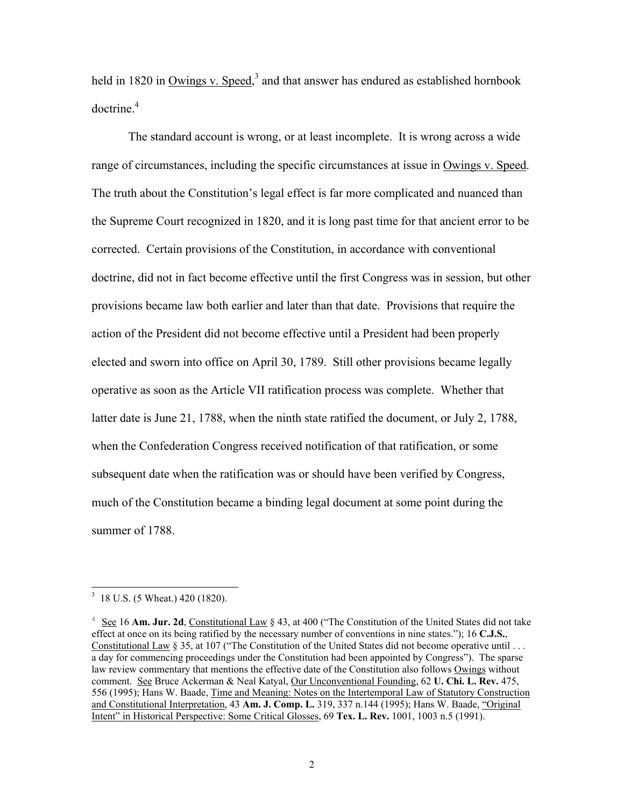held in 1820 in Owings v. Speed,<sup>3</sup> and that answer has endured as established hornbook  $d$ octrine. $4$ 

The standard account is wrong, or at least incomplete. It is wrong across a wide range of circumstances, including the specific circumstances at issue in Owings v. Speed. The truth about the Constitution's legal effect is far more complicated and nuanced than the Supreme Court recognized in 1820, and it is long past time for that ancient error to be corrected. Certain provisions of the Constitution, in accordance with conventional doctrine, did not in fact become effective until the first Congress was in session, but other provisions became law both earlier and later than that date. Provisions that require the action of the President did not become effective until a President had been properly elected and sworn into office on April 30, 1789. Still other provisions became legally operative as soon as the Article VII ratification process was complete. Whether that latter date is June 21, 1788, when the ninth state ratified the document, or July 2, 1788, when the Confederation Congress received notification of that ratification, or some subsequent date when the ratification was or should have been verified by Congress, much of the Constitution became a binding legal document at some point during the summer of 1788.

<sup>&</sup>lt;sup>3</sup> 18 U.S. (5 Wheat.) 420 (1820).

<sup>&</sup>lt;sup>4</sup> See 16 Am. Jur. 2d, Constitutional Law § 43, at 400 ("The Constitution of the United States did not take effect at once on its being ratified by the necessary number of conventions in nine states."); 16 **C.J.S.**, Constitutional Law § 35, at 107 ("The Constitution of the United States did not become operative until . . . a day for commencing proceedings under the Constitution had been appointed by Congress"). The sparse law review commentary that mentions the effective date of the Constitution also follows Owings without comment. See Bruce Ackerman & Neal Katyal, Our Unconventional Founding, 62 **U. Chi. L. Rev.** 475, 556 (1995); Hans W. Baade, Time and Meaning: Notes on the Intertemporal Law of Statutory Construction and Constitutional Interpretation, 43 **Am. J. Comp. L.** 319, 337 n.144 (1995); Hans W. Baade, "Original Intent" in Historical Perspective: Some Critical Glosses, 69 **Tex. L. Rev.** 1001, 1003 n.5 (1991).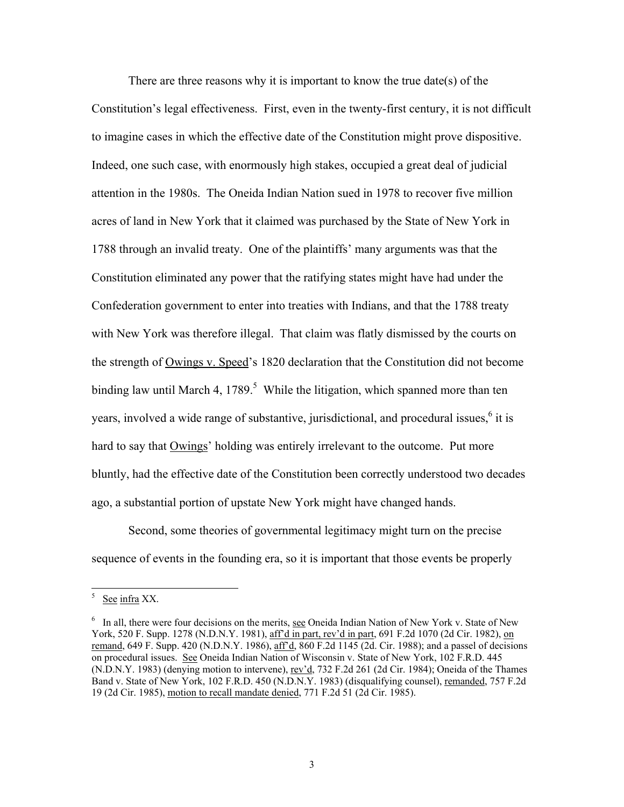There are three reasons why it is important to know the true date(s) of the Constitution's legal effectiveness. First, even in the twenty-first century, it is not difficult to imagine cases in which the effective date of the Constitution might prove dispositive. Indeed, one such case, with enormously high stakes, occupied a great deal of judicial attention in the 1980s. The Oneida Indian Nation sued in 1978 to recover five million acres of land in New York that it claimed was purchased by the State of New York in 1788 through an invalid treaty. One of the plaintiffs' many arguments was that the Constitution eliminated any power that the ratifying states might have had under the Confederation government to enter into treaties with Indians, and that the 1788 treaty with New York was therefore illegal. That claim was flatly dismissed by the courts on the strength of Owings v. Speed's 1820 declaration that the Constitution did not become binding law until March 4, 1789.<sup>5</sup> While the litigation, which spanned more than ten years, involved a wide range of substantive, jurisdictional, and procedural issues, $<sup>6</sup>$  it is</sup> hard to say that Owings' holding was entirely irrelevant to the outcome. Put more bluntly, had the effective date of the Constitution been correctly understood two decades ago, a substantial portion of upstate New York might have changed hands.

Second, some theories of governmental legitimacy might turn on the precise sequence of events in the founding era, so it is important that those events be properly

 5 See infra XX.

<sup>&</sup>lt;sup>6</sup> In all, there were four decisions on the merits, see Oneida Indian Nation of New York v. State of New York, 520 F. Supp. 1278 (N.D.N.Y. 1981), aff'd in part, rev'd in part, 691 F.2d 1070 (2d Cir. 1982), on remand, 649 F. Supp. 420 (N.D.N.Y. 1986), aff'd, 860 F.2d 1145 (2d. Cir. 1988); and a passel of decisions on procedural issues. See Oneida Indian Nation of Wisconsin v. State of New York, 102 F.R.D. 445 (N.D.N.Y. 1983) (denying motion to intervene), rev'd, 732 F.2d 261 (2d Cir. 1984); Oneida of the Thames Band v. State of New York, 102 F.R.D. 450 (N.D.N.Y. 1983) (disqualifying counsel), remanded, 757 F.2d 19 (2d Cir. 1985), motion to recall mandate denied, 771 F.2d 51 (2d Cir. 1985).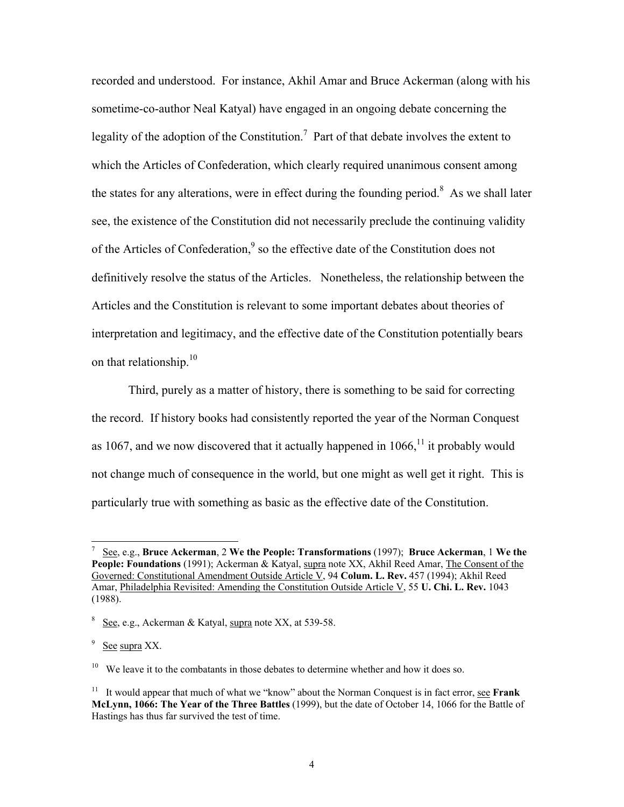recorded and understood. For instance, Akhil Amar and Bruce Ackerman (along with his sometime-co-author Neal Katyal) have engaged in an ongoing debate concerning the legality of the adoption of the Constitution.<sup>7</sup> Part of that debate involves the extent to which the Articles of Confederation, which clearly required unanimous consent among the states for any alterations, were in effect during the founding period.<sup>8</sup> As we shall later see, the existence of the Constitution did not necessarily preclude the continuing validity of the Articles of Confederation,<sup>9</sup> so the effective date of the Constitution does not definitively resolve the status of the Articles. Nonetheless, the relationship between the Articles and the Constitution is relevant to some important debates about theories of interpretation and legitimacy, and the effective date of the Constitution potentially bears on that relationship.<sup>10</sup>

Third, purely as a matter of history, there is something to be said for correcting the record. If history books had consistently reported the year of the Norman Conquest as 1067, and we now discovered that it actually happened in  $1066$ ,<sup> $11$ </sup> it probably would not change much of consequence in the world, but one might as well get it right. This is particularly true with something as basic as the effective date of the Constitution.

<sup>7</sup> See, e.g., **Bruce Ackerman**, 2 **We the People: Transformations** (1997); **Bruce Ackerman**, 1 **We the**  People: Foundations (1991); Ackerman & Katyal, supra note XX, Akhil Reed Amar, The Consent of the Governed: Constitutional Amendment Outside Article V, 94 **Colum. L. Rev.** 457 (1994); Akhil Reed Amar, Philadelphia Revisited: Amending the Constitution Outside Article V, 55 **U. Chi. L. Rev.** 1043 (1988).

 $8 \text{ See}$ , e.g., Ackerman & Katyal, supra note XX, at 539-58.

 $9\,$  See supra XX.

<sup>&</sup>lt;sup>10</sup> We leave it to the combatants in those debates to determine whether and how it does so.

<sup>&</sup>lt;sup>11</sup> It would appear that much of what we "know" about the Norman Conquest is in fact error, see **Frank McLynn, 1066: The Year of the Three Battles** (1999), but the date of October 14, 1066 for the Battle of Hastings has thus far survived the test of time.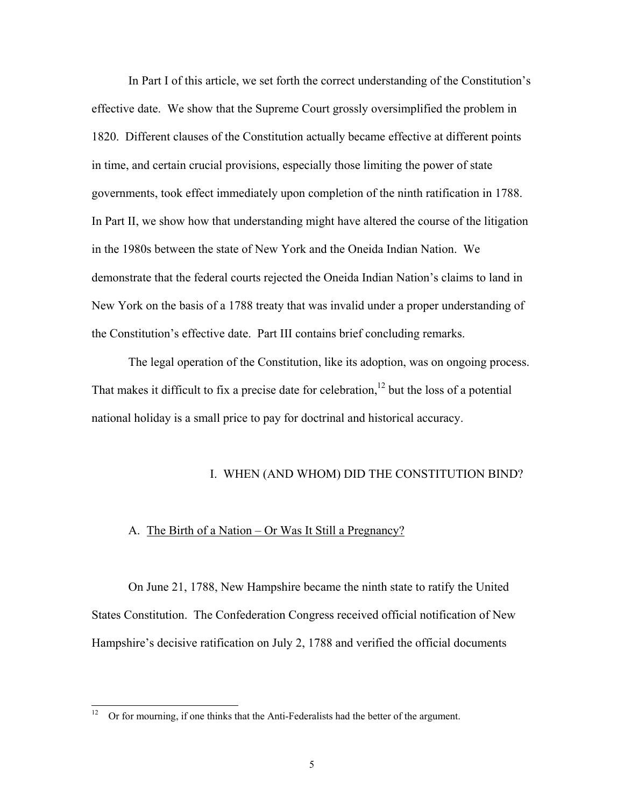In Part I of this article, we set forth the correct understanding of the Constitution's effective date. We show that the Supreme Court grossly oversimplified the problem in 1820. Different clauses of the Constitution actually became effective at different points in time, and certain crucial provisions, especially those limiting the power of state governments, took effect immediately upon completion of the ninth ratification in 1788. In Part II, we show how that understanding might have altered the course of the litigation in the 1980s between the state of New York and the Oneida Indian Nation. We demonstrate that the federal courts rejected the Oneida Indian Nation's claims to land in New York on the basis of a 1788 treaty that was invalid under a proper understanding of the Constitution's effective date. Part III contains brief concluding remarks.

 The legal operation of the Constitution, like its adoption, was on ongoing process. That makes it difficult to fix a precise date for celebration,<sup>12</sup> but the loss of a potential national holiday is a small price to pay for doctrinal and historical accuracy.

#### I. WHEN (AND WHOM) DID THE CONSTITUTION BIND?

#### A. The Birth of a Nation – Or Was It Still a Pregnancy?

 On June 21, 1788, New Hampshire became the ninth state to ratify the United States Constitution. The Confederation Congress received official notification of New Hampshire's decisive ratification on July 2, 1788 and verified the official documents

 $12 \,$ 12 Or for mourning, if one thinks that the Anti-Federalists had the better of the argument.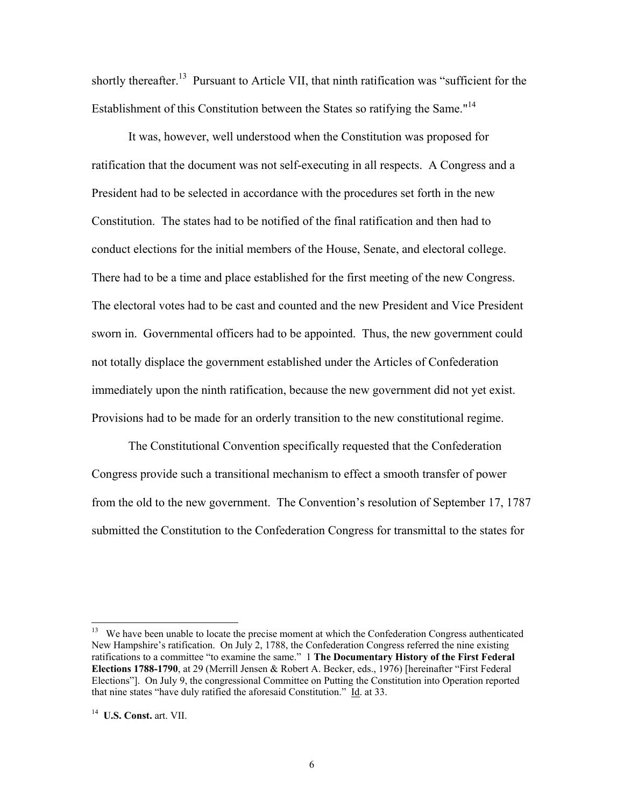shortly thereafter.<sup>13</sup> Pursuant to Article VII, that ninth ratification was "sufficient for the Establishment of this Constitution between the States so ratifying the Same."<sup>14</sup>

 It was, however, well understood when the Constitution was proposed for ratification that the document was not self-executing in all respects. A Congress and a President had to be selected in accordance with the procedures set forth in the new Constitution. The states had to be notified of the final ratification and then had to conduct elections for the initial members of the House, Senate, and electoral college. There had to be a time and place established for the first meeting of the new Congress. The electoral votes had to be cast and counted and the new President and Vice President sworn in. Governmental officers had to be appointed. Thus, the new government could not totally displace the government established under the Articles of Confederation immediately upon the ninth ratification, because the new government did not yet exist. Provisions had to be made for an orderly transition to the new constitutional regime.

 The Constitutional Convention specifically requested that the Confederation Congress provide such a transitional mechanism to effect a smooth transfer of power from the old to the new government. The Convention's resolution of September 17, 1787 submitted the Constitution to the Confederation Congress for transmittal to the states for

<sup>&</sup>lt;sup>13</sup> We have been unable to locate the precise moment at which the Confederation Congress authenticated New Hampshire's ratification. On July 2, 1788, the Confederation Congress referred the nine existing ratifications to a committee "to examine the same." 1 **The Documentary History of the First Federal Elections 1788-1790**, at 29 (Merrill Jensen & Robert A. Becker, eds., 1976) [hereinafter "First Federal Elections"]. On July 9, the congressional Committee on Putting the Constitution into Operation reported that nine states "have duly ratified the aforesaid Constitution." Id. at 33.

<sup>14</sup> **U.S. Const.** art. VII.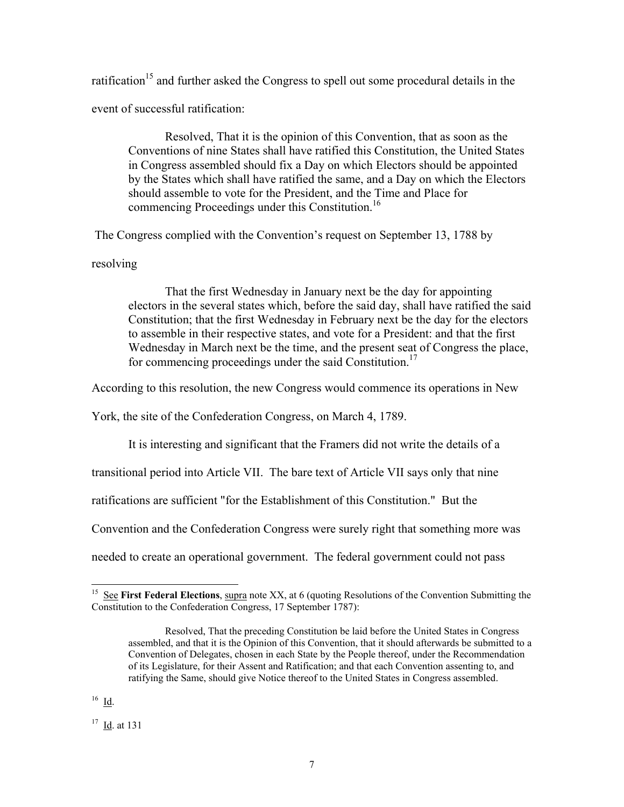ratification<sup>15</sup> and further asked the Congress to spell out some procedural details in the event of successful ratification:

 Resolved, That it is the opinion of this Convention, that as soon as the Conventions of nine States shall have ratified this Constitution, the United States in Congress assembled should fix a Day on which Electors should be appointed by the States which shall have ratified the same, and a Day on which the Electors should assemble to vote for the President, and the Time and Place for commencing Proceedings under this Constitution.<sup>16</sup>

The Congress complied with the Convention's request on September 13, 1788 by

resolving

 That the first Wednesday in January next be the day for appointing electors in the several states which, before the said day, shall have ratified the said Constitution; that the first Wednesday in February next be the day for the electors to assemble in their respective states, and vote for a President: and that the first Wednesday in March next be the time, and the present seat of Congress the place, for commencing proceedings under the said Constitution.<sup>17</sup>

According to this resolution, the new Congress would commence its operations in New

York, the site of the Confederation Congress, on March 4, 1789.

It is interesting and significant that the Framers did not write the details of a

transitional period into Article VII. The bare text of Article VII says only that nine

ratifications are sufficient "for the Establishment of this Constitution." But the

Convention and the Confederation Congress were surely right that something more was

needed to create an operational government. The federal government could not pass

<sup>&</sup>lt;sup>15</sup> See First Federal Elections, supra note XX, at 6 (quoting Resolutions of the Convention Submitting the Constitution to the Confederation Congress, 17 September 1787):

Resolved, That the preceding Constitution be laid before the United States in Congress assembled, and that it is the Opinion of this Convention, that it should afterwards be submitted to a Convention of Delegates, chosen in each State by the People thereof, under the Recommendation of its Legislature, for their Assent and Ratification; and that each Convention assenting to, and ratifying the Same, should give Notice thereof to the United States in Congress assembled.

 $16$  Id.

<sup>17</sup> Id. at 131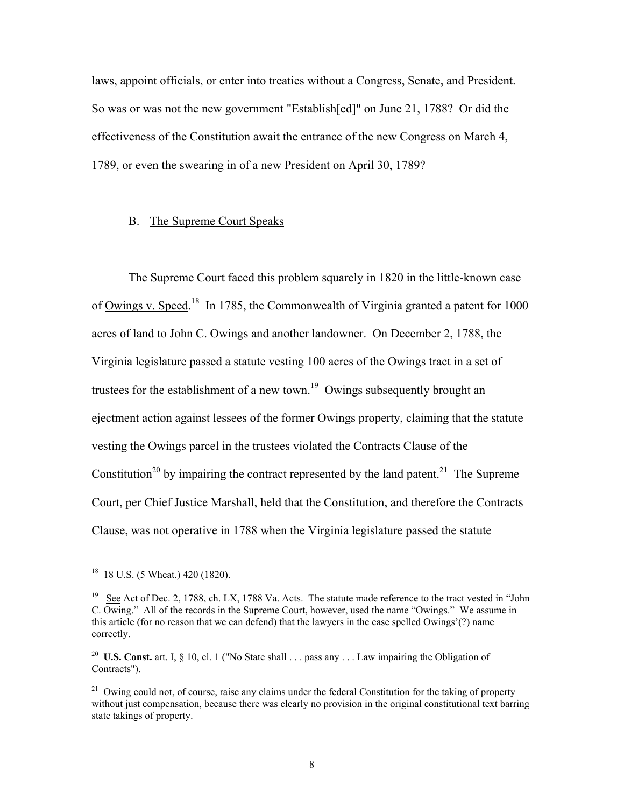laws, appoint officials, or enter into treaties without a Congress, Senate, and President. So was or was not the new government "Establish[ed]" on June 21, 1788? Or did the effectiveness of the Constitution await the entrance of the new Congress on March 4, 1789, or even the swearing in of a new President on April 30, 1789?

#### B. The Supreme Court Speaks

 The Supreme Court faced this problem squarely in 1820 in the little-known case of Owings v. Speed.<sup>18</sup> In 1785, the Commonwealth of Virginia granted a patent for 1000 acres of land to John C. Owings and another landowner. On December 2, 1788, the Virginia legislature passed a statute vesting 100 acres of the Owings tract in a set of trustees for the establishment of a new town.<sup>19</sup> Owings subsequently brought an ejectment action against lessees of the former Owings property, claiming that the statute vesting the Owings parcel in the trustees violated the Contracts Clause of the Constitution<sup>20</sup> by impairing the contract represented by the land patent.<sup>21</sup> The Supreme Court, per Chief Justice Marshall, held that the Constitution, and therefore the Contracts Clause, was not operative in 1788 when the Virginia legislature passed the statute

<sup>&</sup>lt;sup>18</sup> 18 U.S. (5 Wheat.) 420 (1820).

<sup>&</sup>lt;sup>19</sup> See Act of Dec. 2, 1788, ch. LX, 1788 Va. Acts. The statute made reference to the tract vested in "John C. Owing." All of the records in the Supreme Court, however, used the name "Owings." We assume in this article (for no reason that we can defend) that the lawyers in the case spelled Owings'(?) name correctly.

<sup>&</sup>lt;sup>20</sup> **U.S. Const.** art. I,  $\S$  10, cl. 1 ("No State shall  $\ldots$  pass any  $\ldots$  Law impairing the Obligation of Contracts").

<sup>&</sup>lt;sup>21</sup> Owing could not, of course, raise any claims under the federal Constitution for the taking of property without just compensation, because there was clearly no provision in the original constitutional text barring state takings of property.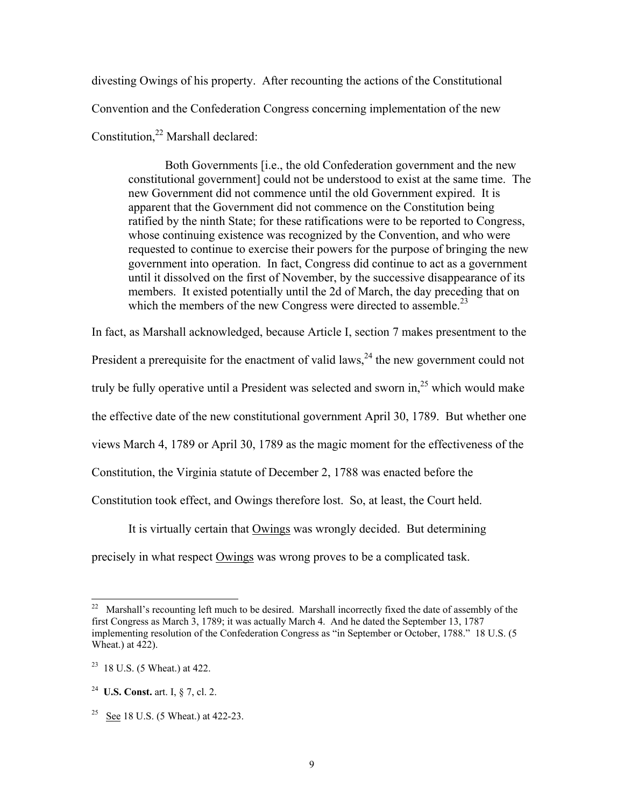divesting Owings of his property. After recounting the actions of the Constitutional Convention and the Confederation Congress concerning implementation of the new Constitution,<sup>22</sup> Marshall declared:

 Both Governments [i.e., the old Confederation government and the new constitutional government] could not be understood to exist at the same time. The new Government did not commence until the old Government expired. It is apparent that the Government did not commence on the Constitution being ratified by the ninth State; for these ratifications were to be reported to Congress, whose continuing existence was recognized by the Convention, and who were requested to continue to exercise their powers for the purpose of bringing the new government into operation. In fact, Congress did continue to act as a government until it dissolved on the first of November, by the successive disappearance of its members. It existed potentially until the 2d of March, the day preceding that on which the members of the new Congress were directed to assemble.<sup>23</sup>

In fact, as Marshall acknowledged, because Article I, section 7 makes presentment to the President a prerequisite for the enactment of valid laws,  $24$  the new government could not truly be fully operative until a President was selected and sworn in.<sup>25</sup> which would make the effective date of the new constitutional government April 30, 1789. But whether one views March 4, 1789 or April 30, 1789 as the magic moment for the effectiveness of the Constitution, the Virginia statute of December 2, 1788 was enacted before the Constitution took effect, and Owings therefore lost. So, at least, the Court held.

It is virtually certain that Owings was wrongly decided. But determining

precisely in what respect Owings was wrong proves to be a complicated task.

 $22$ Marshall's recounting left much to be desired. Marshall incorrectly fixed the date of assembly of the first Congress as March 3, 1789; it was actually March 4. And he dated the September 13, 1787 implementing resolution of the Confederation Congress as "in September or October, 1788." 18 U.S. (5 Wheat.) at 422).

 $23$  18 U.S. (5 Wheat.) at 422.

<sup>24</sup> **U.S. Const.** art. I, § 7, cl. 2.

<sup>&</sup>lt;sup>25</sup> See 18 U.S. (5 Wheat.) at 422-23.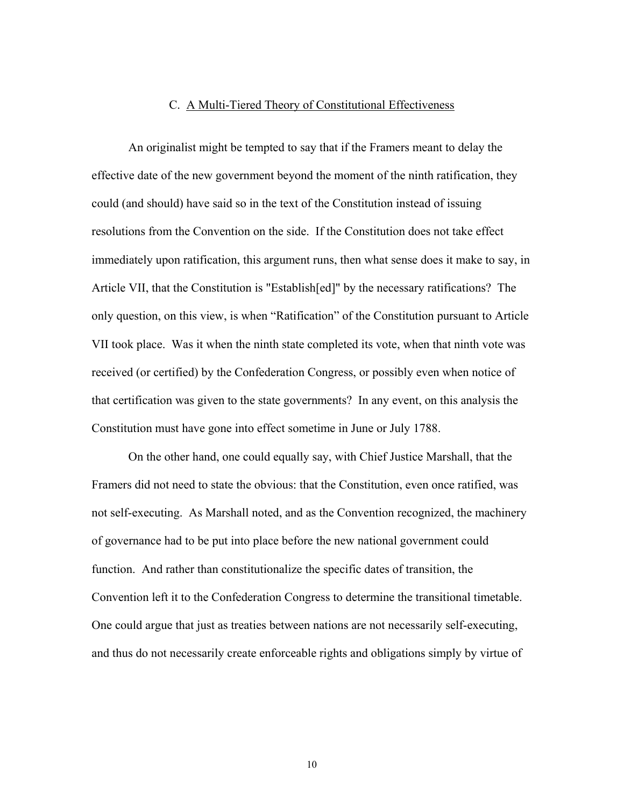#### C. A Multi-Tiered Theory of Constitutional Effectiveness

 An originalist might be tempted to say that if the Framers meant to delay the effective date of the new government beyond the moment of the ninth ratification, they could (and should) have said so in the text of the Constitution instead of issuing resolutions from the Convention on the side. If the Constitution does not take effect immediately upon ratification, this argument runs, then what sense does it make to say, in Article VII, that the Constitution is "Establish[ed]" by the necessary ratifications? The only question, on this view, is when "Ratification" of the Constitution pursuant to Article VII took place. Was it when the ninth state completed its vote, when that ninth vote was received (or certified) by the Confederation Congress, or possibly even when notice of that certification was given to the state governments? In any event, on this analysis the Constitution must have gone into effect sometime in June or July 1788.

 On the other hand, one could equally say, with Chief Justice Marshall, that the Framers did not need to state the obvious: that the Constitution, even once ratified, was not self-executing. As Marshall noted, and as the Convention recognized, the machinery of governance had to be put into place before the new national government could function. And rather than constitutionalize the specific dates of transition, the Convention left it to the Confederation Congress to determine the transitional timetable. One could argue that just as treaties between nations are not necessarily self-executing, and thus do not necessarily create enforceable rights and obligations simply by virtue of

10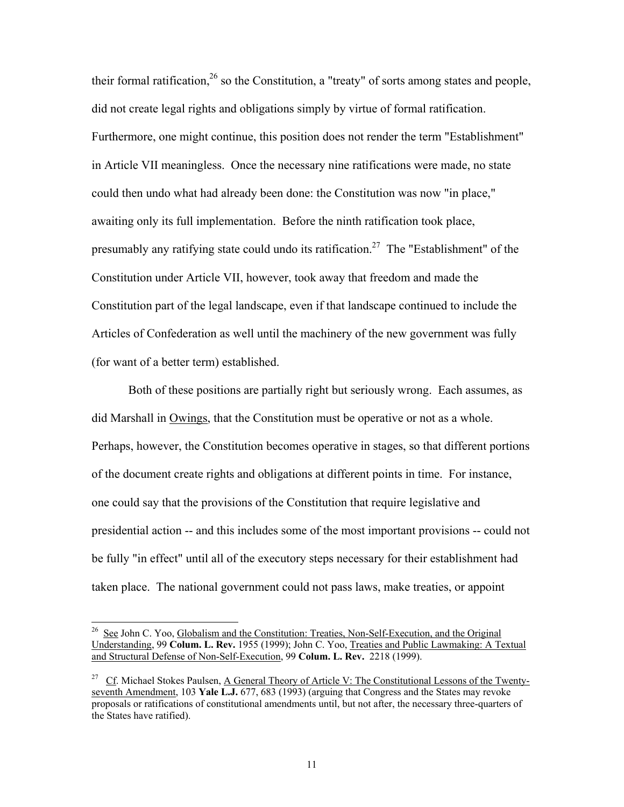their formal ratification,<sup>26</sup> so the Constitution, a "treaty" of sorts among states and people, did not create legal rights and obligations simply by virtue of formal ratification. Furthermore, one might continue, this position does not render the term "Establishment" in Article VII meaningless. Once the necessary nine ratifications were made, no state could then undo what had already been done: the Constitution was now "in place," awaiting only its full implementation. Before the ninth ratification took place, presumably any ratifying state could undo its ratification.<sup>27</sup> The "Establishment" of the Constitution under Article VII, however, took away that freedom and made the Constitution part of the legal landscape, even if that landscape continued to include the Articles of Confederation as well until the machinery of the new government was fully (for want of a better term) established.

 Both of these positions are partially right but seriously wrong. Each assumes, as did Marshall in Owings, that the Constitution must be operative or not as a whole. Perhaps, however, the Constitution becomes operative in stages, so that different portions of the document create rights and obligations at different points in time. For instance, one could say that the provisions of the Constitution that require legislative and presidential action -- and this includes some of the most important provisions -- could not be fully "in effect" until all of the executory steps necessary for their establishment had taken place. The national government could not pass laws, make treaties, or appoint

<sup>&</sup>lt;sup>26</sup> See John C. Yoo, Globalism and th<u>e Constitution: Treaties, Non-Self-Execution</u>, and the Original Understanding, 99 **Colum. L. Rev.** 1955 (1999); John C. Yoo, Treaties and Public Lawmaking: A Textual and Structural Defense of Non-Self-Execution, 99 **Colum. L. Rev.** 2218 (1999).

<sup>&</sup>lt;sup>27</sup> Cf. Michael Stokes Paulsen, A General Theory of Article V: The Constitutional Lessons of the Twentyseventh Amendment, 103 **Yale L.J.** 677, 683 (1993) (arguing that Congress and the States may revoke proposals or ratifications of constitutional amendments until, but not after, the necessary three-quarters of the States have ratified).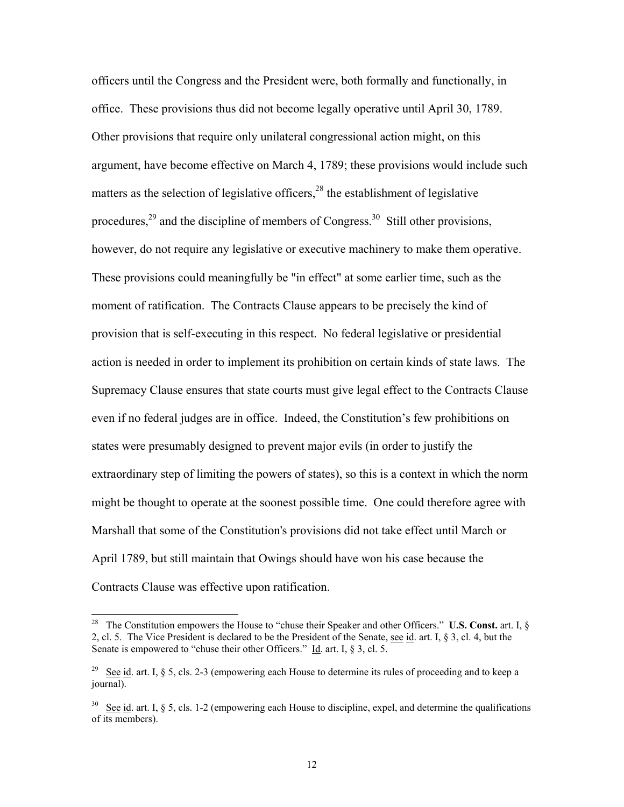officers until the Congress and the President were, both formally and functionally, in office. These provisions thus did not become legally operative until April 30, 1789. Other provisions that require only unilateral congressional action might, on this argument, have become effective on March 4, 1789; these provisions would include such matters as the selection of legislative officers,<sup>28</sup> the establishment of legislative procedures,<sup>29</sup> and the discipline of members of Congress.<sup>30</sup> Still other provisions, however, do not require any legislative or executive machinery to make them operative. These provisions could meaningfully be "in effect" at some earlier time, such as the moment of ratification. The Contracts Clause appears to be precisely the kind of provision that is self-executing in this respect. No federal legislative or presidential action is needed in order to implement its prohibition on certain kinds of state laws. The Supremacy Clause ensures that state courts must give legal effect to the Contracts Clause even if no federal judges are in office. Indeed, the Constitution's few prohibitions on states were presumably designed to prevent major evils (in order to justify the extraordinary step of limiting the powers of states), so this is a context in which the norm might be thought to operate at the soonest possible time. One could therefore agree with Marshall that some of the Constitution's provisions did not take effect until March or April 1789, but still maintain that Owings should have won his case because the Contracts Clause was effective upon ratification.

 $\overline{a}$ 

<sup>&</sup>lt;sup>28</sup> The Constitution empowers the House to "chuse their Speaker and other Officers." **U.S. Const.** art. I, § 2, cl. 5. The Vice President is declared to be the President of the Senate, see id. art. I, § 3, cl. 4, but the Senate is empowered to "chuse their other Officers." Id. art. I, § 3, cl. 5.

<sup>&</sup>lt;sup>29</sup> See id. art. I, § 5, cls. 2-3 (empowering each House to determine its rules of proceeding and to keep a journal).

<sup>&</sup>lt;sup>30</sup> See id. art. I,  $\S 5$ , cls. 1-2 (empowering each House to discipline, expel, and determine the qualifications of its members).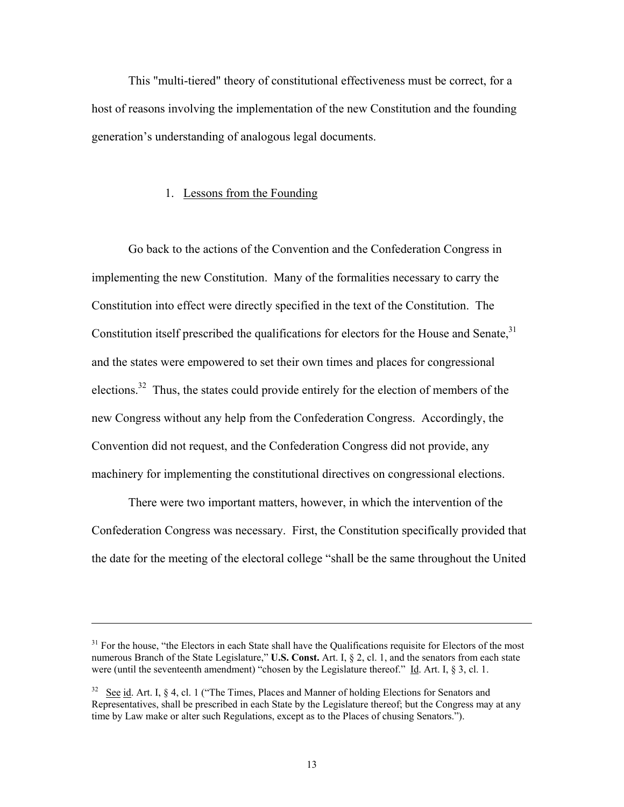This "multi-tiered" theory of constitutional effectiveness must be correct, for a host of reasons involving the implementation of the new Constitution and the founding generation's understanding of analogous legal documents.

#### 1. Lessons from the Founding

 Go back to the actions of the Convention and the Confederation Congress in implementing the new Constitution. Many of the formalities necessary to carry the Constitution into effect were directly specified in the text of the Constitution. The Constitution itself prescribed the qualifications for electors for the House and Senate,  $31$ and the states were empowered to set their own times and places for congressional elections.<sup>32</sup> Thus, the states could provide entirely for the election of members of the new Congress without any help from the Confederation Congress. Accordingly, the Convention did not request, and the Confederation Congress did not provide, any machinery for implementing the constitutional directives on congressional elections.

 There were two important matters, however, in which the intervention of the Confederation Congress was necessary. First, the Constitution specifically provided that the date for the meeting of the electoral college "shall be the same throughout the United

l

<sup>&</sup>lt;sup>31</sup> For the house, "the Electors in each State shall have the Qualifications requisite for Electors of the most numerous Branch of the State Legislature," **U.S. Const.** Art. I, § 2, cl. 1, and the senators from each state were (until the seventeenth amendment) "chosen by the Legislature thereof." Id. Art. I, § 3, cl. 1.

 $32$  See id. Art. I, § 4, cl. 1 ("The Times, Places and Manner of holding Elections for Senators and Representatives, shall be prescribed in each State by the Legislature thereof; but the Congress may at any time by Law make or alter such Regulations, except as to the Places of chusing Senators.").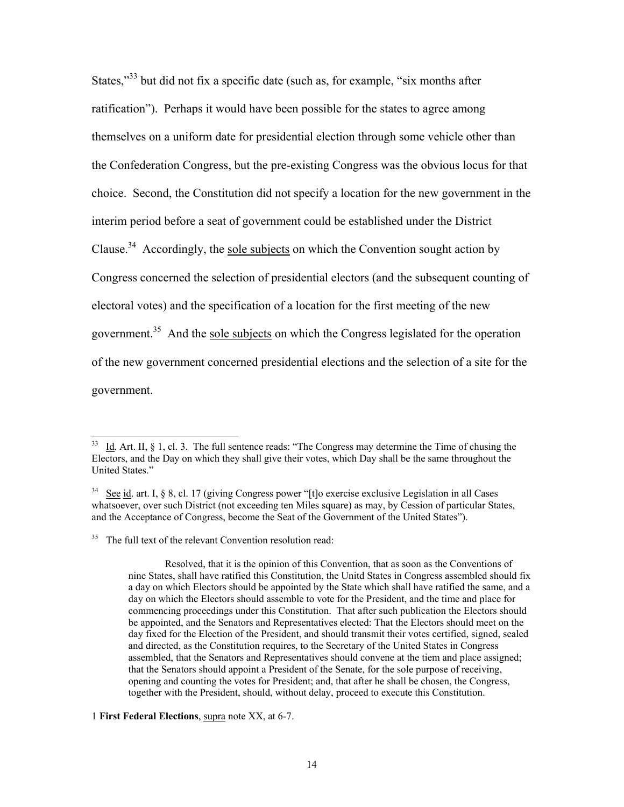States,"<sup>33</sup> but did not fix a specific date (such as, for example, "six months after ratification"). Perhaps it would have been possible for the states to agree among themselves on a uniform date for presidential election through some vehicle other than the Confederation Congress, but the pre-existing Congress was the obvious locus for that choice. Second, the Constitution did not specify a location for the new government in the interim period before a seat of government could be established under the District Clause.<sup>34</sup> Accordingly, the sole subjects on which the Convention sought action by Congress concerned the selection of presidential electors (and the subsequent counting of electoral votes) and the specification of a location for the first meeting of the new government.<sup>35</sup> And the sole subjects on which the Congress legislated for the operation of the new government concerned presidential elections and the selection of a site for the government.

 $\overline{\phantom{a}}$ 

1 **First Federal Elections**, supra note XX, at 6-7.

Id. Art. II, § 1, cl. 3. The full sentence reads: "The Congress may determine the Time of chusing the Electors, and the Day on which they shall give their votes, which Day shall be the same throughout the United States."

 $34$  See id. art. I, § 8, cl. 17 (giving Congress power "[t]o exercise exclusive Legislation in all Cases whatsoever, over such District (not exceeding ten Miles square) as may, by Cession of particular States, and the Acceptance of Congress, become the Seat of the Government of the United States").

<sup>&</sup>lt;sup>35</sup> The full text of the relevant Convention resolution read:

Resolved, that it is the opinion of this Convention, that as soon as the Conventions of nine States, shall have ratified this Constitution, the Unitd States in Congress assembled should fix a day on which Electors should be appointed by the State which shall have ratified the same, and a day on which the Electors should assemble to vote for the President, and the time and place for commencing proceedings under this Constitution. That after such publication the Electors should be appointed, and the Senators and Representatives elected: That the Electors should meet on the day fixed for the Election of the President, and should transmit their votes certified, signed, sealed and directed, as the Constitution requires, to the Secretary of the United States in Congress assembled, that the Senators and Representatives should convene at the tiem and place assigned; that the Senators should appoint a President of the Senate, for the sole purpose of receiving, opening and counting the votes for President; and, that after he shall be chosen, the Congress, together with the President, should, without delay, proceed to execute this Constitution.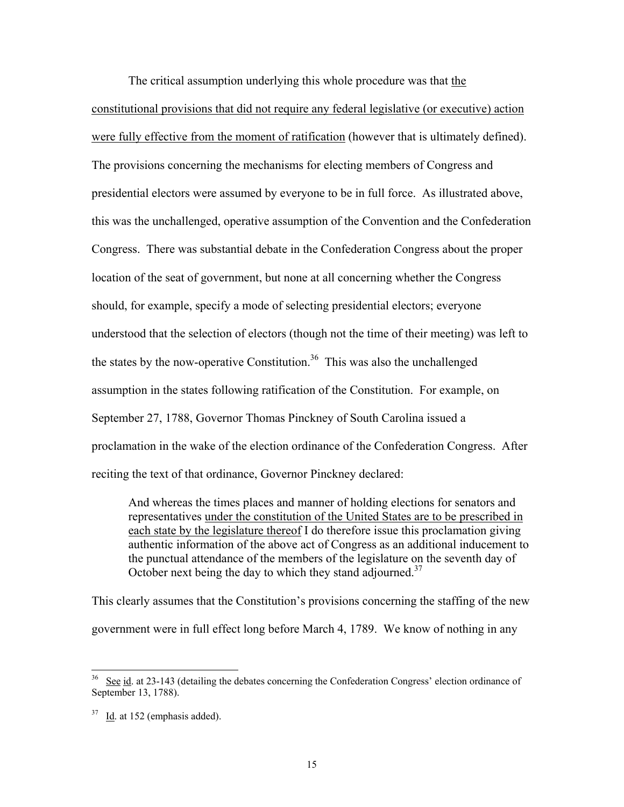The critical assumption underlying this whole procedure was that the constitutional provisions that did not require any federal legislative (or executive) action were fully effective from the moment of ratification (however that is ultimately defined). The provisions concerning the mechanisms for electing members of Congress and presidential electors were assumed by everyone to be in full force. As illustrated above, this was the unchallenged, operative assumption of the Convention and the Confederation Congress. There was substantial debate in the Confederation Congress about the proper location of the seat of government, but none at all concerning whether the Congress should, for example, specify a mode of selecting presidential electors; everyone understood that the selection of electors (though not the time of their meeting) was left to the states by the now-operative Constitution.<sup>36</sup> This was also the unchallenged assumption in the states following ratification of the Constitution. For example, on September 27, 1788, Governor Thomas Pinckney of South Carolina issued a proclamation in the wake of the election ordinance of the Confederation Congress. After reciting the text of that ordinance, Governor Pinckney declared:

And whereas the times places and manner of holding elections for senators and representatives under the constitution of the United States are to be prescribed in each state by the legislature thereof I do therefore issue this proclamation giving authentic information of the above act of Congress as an additional inducement to the punctual attendance of the members of the legislature on the seventh day of October next being the day to which they stand adjourned.<sup>37</sup>

This clearly assumes that the Constitution's provisions concerning the staffing of the new government were in full effect long before March 4, 1789. We know of nothing in any

 $36$  See id. at 23-143 (detailing the debates concerning the Confederation Congress' election ordinance of September 13, 1788).

 $37$  Id. at 152 (emphasis added).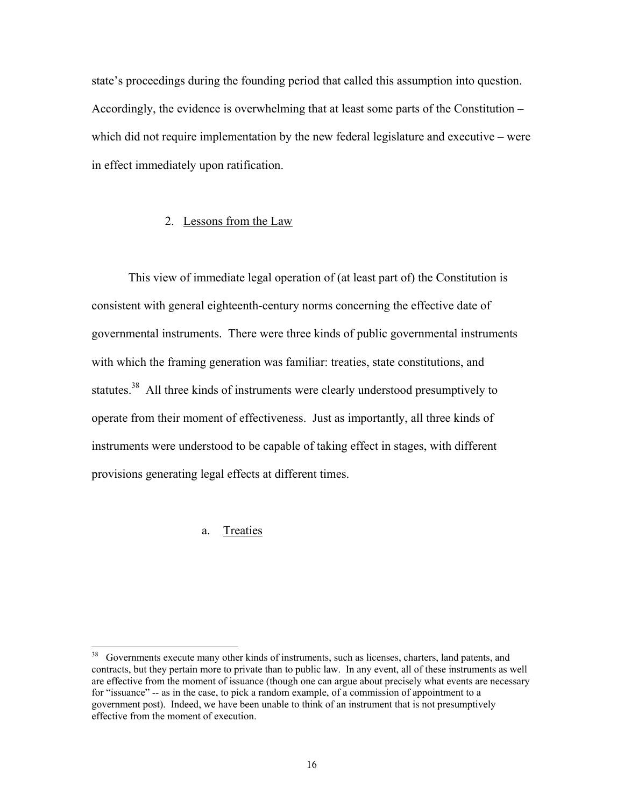state's proceedings during the founding period that called this assumption into question. Accordingly, the evidence is overwhelming that at least some parts of the Constitution – which did not require implementation by the new federal legislature and executive – were in effect immediately upon ratification.

#### 2. Lessons from the Law

 This view of immediate legal operation of (at least part of) the Constitution is consistent with general eighteenth-century norms concerning the effective date of governmental instruments. There were three kinds of public governmental instruments with which the framing generation was familiar: treaties, state constitutions, and statutes.<sup>38</sup> All three kinds of instruments were clearly understood presumptively to operate from their moment of effectiveness. Just as importantly, all three kinds of instruments were understood to be capable of taking effect in stages, with different provisions generating legal effects at different times.

#### a. Treaties

 $38\,$ Governments execute many other kinds of instruments, such as licenses, charters, land patents, and contracts, but they pertain more to private than to public law. In any event, all of these instruments as well are effective from the moment of issuance (though one can argue about precisely what events are necessary for "issuance" -- as in the case, to pick a random example, of a commission of appointment to a government post). Indeed, we have been unable to think of an instrument that is not presumptively effective from the moment of execution.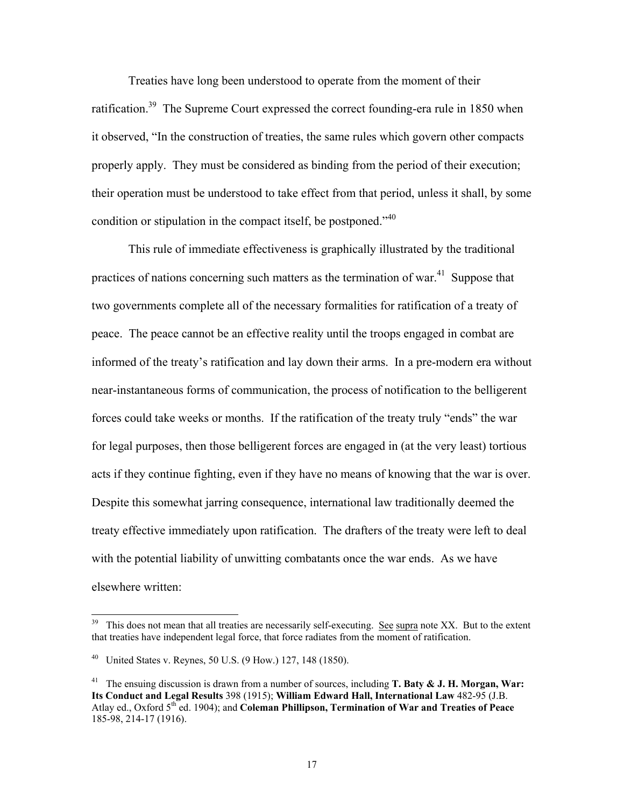Treaties have long been understood to operate from the moment of their ratification.<sup>39</sup> The Supreme Court expressed the correct founding-era rule in 1850 when it observed, "In the construction of treaties, the same rules which govern other compacts properly apply. They must be considered as binding from the period of their execution; their operation must be understood to take effect from that period, unless it shall, by some condition or stipulation in the compact itself, be postponed."<sup>40</sup>

 This rule of immediate effectiveness is graphically illustrated by the traditional practices of nations concerning such matters as the termination of war.<sup>41</sup> Suppose that two governments complete all of the necessary formalities for ratification of a treaty of peace. The peace cannot be an effective reality until the troops engaged in combat are informed of the treaty's ratification and lay down their arms. In a pre-modern era without near-instantaneous forms of communication, the process of notification to the belligerent forces could take weeks or months. If the ratification of the treaty truly "ends" the war for legal purposes, then those belligerent forces are engaged in (at the very least) tortious acts if they continue fighting, even if they have no means of knowing that the war is over. Despite this somewhat jarring consequence, international law traditionally deemed the treaty effective immediately upon ratification. The drafters of the treaty were left to deal with the potential liability of unwitting combatants once the war ends. As we have elsewhere written:

 $\overline{a}$ 

<sup>&</sup>lt;sup>39</sup> This does not mean that all treaties are necessarily self-executing. See supra note XX. But to the extent that treaties have independent legal force, that force radiates from the moment of ratification.

<sup>&</sup>lt;sup>40</sup> United States v. Reynes, 50 U.S. (9 How.) 127, 148 (1850).

<sup>&</sup>lt;sup>41</sup> The ensuing discussion is drawn from a number of sources, including **T. Baty & J. H. Morgan, War: Its Conduct and Legal Results** 398 (1915); **William Edward Hall, International Law** 482-95 (J.B. Atlay ed., Oxford 5<sup>th</sup> ed. 1904); and **Coleman Phillipson, Termination of War and Treaties of Peace** 185-98, 214-17 (1916).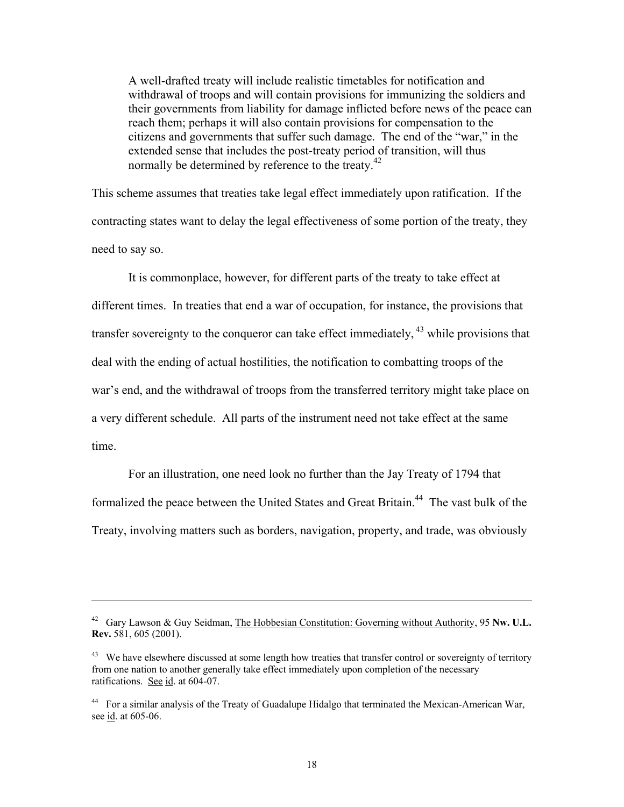A well-drafted treaty will include realistic timetables for notification and withdrawal of troops and will contain provisions for immunizing the soldiers and their governments from liability for damage inflicted before news of the peace can reach them; perhaps it will also contain provisions for compensation to the citizens and governments that suffer such damage. The end of the "war," in the extended sense that includes the post-treaty period of transition, will thus normally be determined by reference to the treaty.<sup>42</sup>

This scheme assumes that treaties take legal effect immediately upon ratification. If the contracting states want to delay the legal effectiveness of some portion of the treaty, they need to say so.

 It is commonplace, however, for different parts of the treaty to take effect at different times. In treaties that end a war of occupation, for instance, the provisions that transfer sovereignty to the conqueror can take effect immediately,  $43$  while provisions that deal with the ending of actual hostilities, the notification to combatting troops of the war's end, and the withdrawal of troops from the transferred territory might take place on a very different schedule. All parts of the instrument need not take effect at the same time.

 For an illustration, one need look no further than the Jay Treaty of 1794 that formalized the peace between the United States and Great Britain.<sup>44</sup> The vast bulk of the Treaty, involving matters such as borders, navigation, property, and trade, was obviously

<sup>42</sup> Gary Lawson & Guy Seidman, The Hobbesian Constitution: Governing without Authority, 95 **Nw. U.L. Rev.** 581, 605 (2001).

<sup>&</sup>lt;sup>43</sup> We have elsewhere discussed at some length how treaties that transfer control or sovereignty of territory from one nation to another generally take effect immediately upon completion of the necessary ratifications. See id. at 604-07.

<sup>&</sup>lt;sup>44</sup> For a similar analysis of the Treaty of Guadalupe Hidalgo that terminated the Mexican-American War, see id. at 605-06.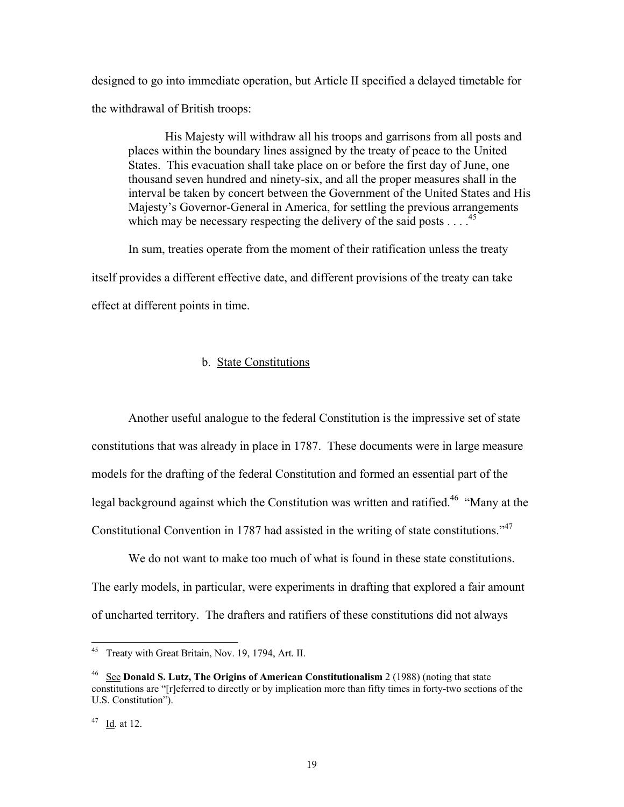designed to go into immediate operation, but Article II specified a delayed timetable for the withdrawal of British troops:

 His Majesty will withdraw all his troops and garrisons from all posts and places within the boundary lines assigned by the treaty of peace to the United States. This evacuation shall take place on or before the first day of June, one thousand seven hundred and ninety-six, and all the proper measures shall in the interval be taken by concert between the Government of the United States and His Majesty's Governor-General in America, for settling the previous arrangements which may be necessary respecting the delivery of the said posts  $\ldots$ .<sup>45</sup>

 In sum, treaties operate from the moment of their ratification unless the treaty itself provides a different effective date, and different provisions of the treaty can take effect at different points in time.

#### b. State Constitutions

 Another useful analogue to the federal Constitution is the impressive set of state constitutions that was already in place in 1787. These documents were in large measure models for the drafting of the federal Constitution and formed an essential part of the legal background against which the Constitution was written and ratified.<sup>46</sup> "Many at the Constitutional Convention in 1787 had assisted in the writing of state constitutions.<sup>47</sup>

We do not want to make too much of what is found in these state constitutions. The early models, in particular, were experiments in drafting that explored a fair amount of uncharted territory. The drafters and ratifiers of these constitutions did not always

Treaty with Great Britain, Nov. 19, 1794, Art. II.

<sup>46</sup> See **Donald S. Lutz, The Origins of American Constitutionalism** 2 (1988) (noting that state constitutions are "[r]eferred to directly or by implication more than fifty times in forty-two sections of the U.S. Constitution").

 $47$  Id. at 12.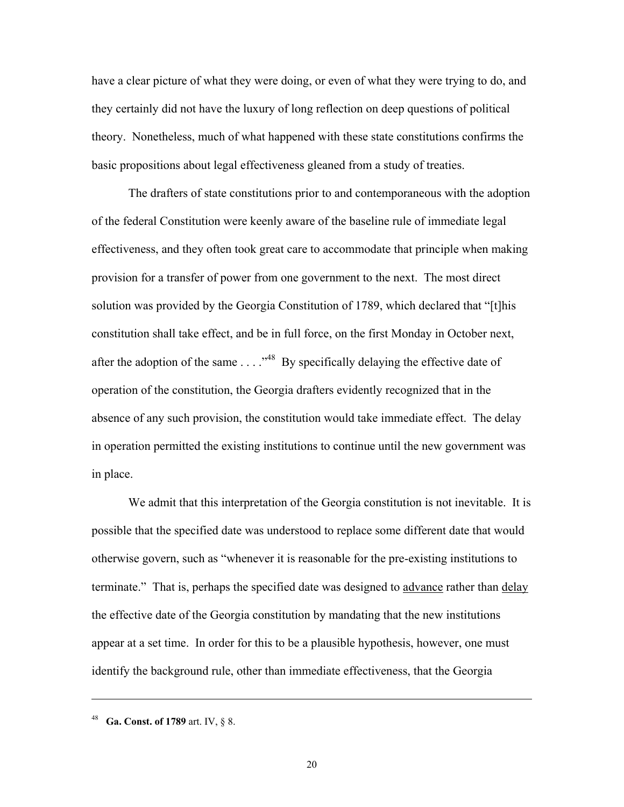have a clear picture of what they were doing, or even of what they were trying to do, and they certainly did not have the luxury of long reflection on deep questions of political theory. Nonetheless, much of what happened with these state constitutions confirms the basic propositions about legal effectiveness gleaned from a study of treaties.

 The drafters of state constitutions prior to and contemporaneous with the adoption of the federal Constitution were keenly aware of the baseline rule of immediate legal effectiveness, and they often took great care to accommodate that principle when making provision for a transfer of power from one government to the next. The most direct solution was provided by the Georgia Constitution of 1789, which declared that "[t]his constitution shall take effect, and be in full force, on the first Monday in October next, after the adoption of the same  $\ldots$ ."<sup>48</sup> By specifically delaying the effective date of operation of the constitution, the Georgia drafters evidently recognized that in the absence of any such provision, the constitution would take immediate effect. The delay in operation permitted the existing institutions to continue until the new government was in place.

We admit that this interpretation of the Georgia constitution is not inevitable. It is possible that the specified date was understood to replace some different date that would otherwise govern, such as "whenever it is reasonable for the pre-existing institutions to terminate." That is, perhaps the specified date was designed to advance rather than delay the effective date of the Georgia constitution by mandating that the new institutions appear at a set time. In order for this to be a plausible hypothesis, however, one must identify the background rule, other than immediate effectiveness, that the Georgia

 $\overline{a}$ 

<sup>48</sup> **Ga. Const. of 1789** art. IV, § 8.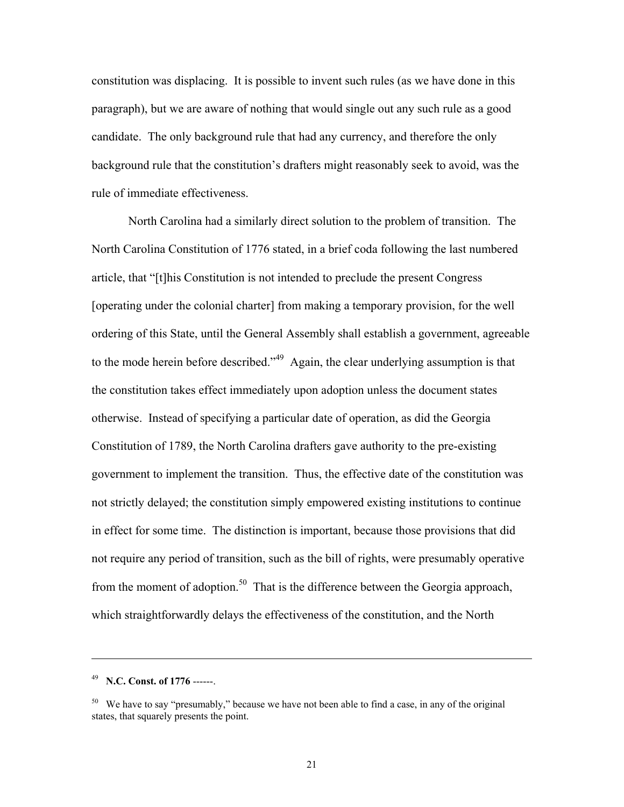constitution was displacing. It is possible to invent such rules (as we have done in this paragraph), but we are aware of nothing that would single out any such rule as a good candidate. The only background rule that had any currency, and therefore the only background rule that the constitution's drafters might reasonably seek to avoid, was the rule of immediate effectiveness.

 North Carolina had a similarly direct solution to the problem of transition. The North Carolina Constitution of 1776 stated, in a brief coda following the last numbered article, that "[t]his Constitution is not intended to preclude the present Congress [operating under the colonial charter] from making a temporary provision, for the well ordering of this State, until the General Assembly shall establish a government, agreeable to the mode herein before described."<sup>49</sup> Again, the clear underlying assumption is that the constitution takes effect immediately upon adoption unless the document states otherwise. Instead of specifying a particular date of operation, as did the Georgia Constitution of 1789, the North Carolina drafters gave authority to the pre-existing government to implement the transition. Thus, the effective date of the constitution was not strictly delayed; the constitution simply empowered existing institutions to continue in effect for some time. The distinction is important, because those provisions that did not require any period of transition, such as the bill of rights, were presumably operative from the moment of adoption.<sup>50</sup> That is the difference between the Georgia approach, which straightforwardly delays the effectiveness of the constitution, and the North

l

<sup>49</sup> **N.C. Const. of 1776** ------.

<sup>&</sup>lt;sup>50</sup> We have to say "presumably," because we have not been able to find a case, in any of the original states, that squarely presents the point.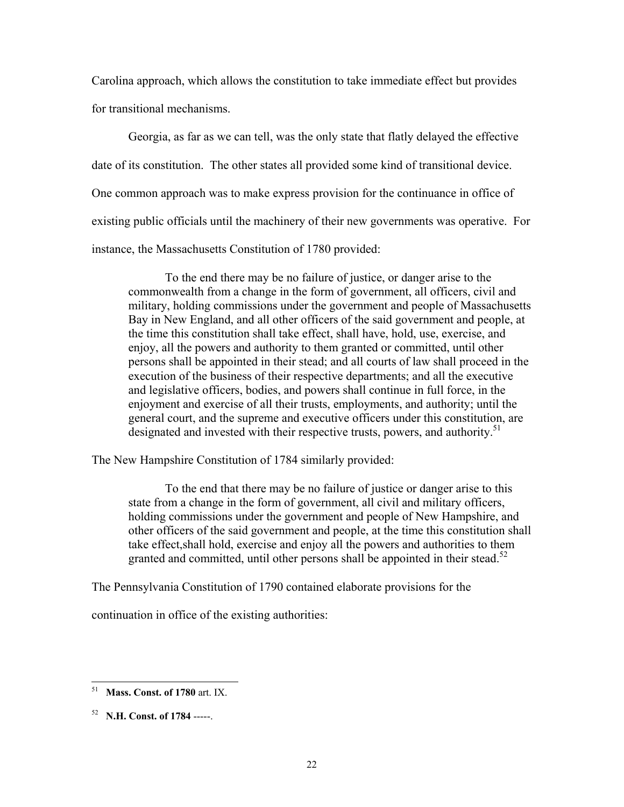Carolina approach, which allows the constitution to take immediate effect but provides for transitional mechanisms.

 Georgia, as far as we can tell, was the only state that flatly delayed the effective date of its constitution. The other states all provided some kind of transitional device. One common approach was to make express provision for the continuance in office of existing public officials until the machinery of their new governments was operative. For instance, the Massachusetts Constitution of 1780 provided:

 To the end there may be no failure of justice, or danger arise to the commonwealth from a change in the form of government, all officers, civil and military, holding commissions under the government and people of Massachusetts Bay in New England, and all other officers of the said government and people, at the time this constitution shall take effect, shall have, hold, use, exercise, and enjoy, all the powers and authority to them granted or committed, until other persons shall be appointed in their stead; and all courts of law shall proceed in the execution of the business of their respective departments; and all the executive and legislative officers, bodies, and powers shall continue in full force, in the enjoyment and exercise of all their trusts, employments, and authority; until the general court, and the supreme and executive officers under this constitution, are designated and invested with their respective trusts, powers, and authority.<sup>51</sup>

The New Hampshire Constitution of 1784 similarly provided:

 To the end that there may be no failure of justice or danger arise to this state from a change in the form of government, all civil and military officers, holding commissions under the government and people of New Hampshire, and other officers of the said government and people, at the time this constitution shall take effect,shall hold, exercise and enjoy all the powers and authorities to them granted and committed, until other persons shall be appointed in their stead.<sup>52</sup>

The Pennsylvania Constitution of 1790 contained elaborate provisions for the

continuation in office of the existing authorities:

<sup>51</sup> **Mass. Const. of 1780** art. IX.

<sup>52</sup> **N.H. Const. of 1784** -----.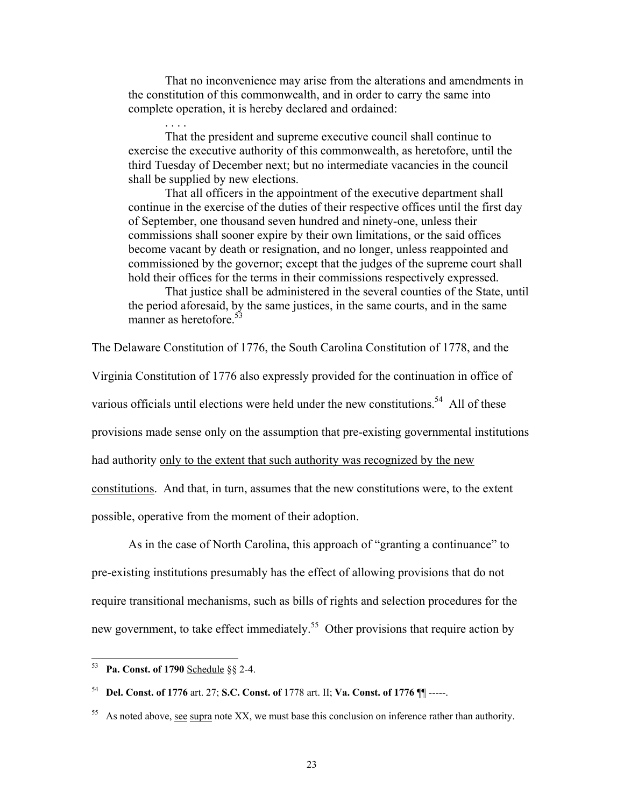That no inconvenience may arise from the alterations and amendments in the constitution of this commonwealth, and in order to carry the same into complete operation, it is hereby declared and ordained:

 That the president and supreme executive council shall continue to exercise the executive authority of this commonwealth, as heretofore, until the third Tuesday of December next; but no intermediate vacancies in the council shall be supplied by new elections.

 That all officers in the appointment of the executive department shall continue in the exercise of the duties of their respective offices until the first day of September, one thousand seven hundred and ninety-one, unless their commissions shall sooner expire by their own limitations, or the said offices become vacant by death or resignation, and no longer, unless reappointed and commissioned by the governor; except that the judges of the supreme court shall hold their offices for the terms in their commissions respectively expressed.

 That justice shall be administered in the several counties of the State, until the period aforesaid, by the same justices, in the same courts, and in the same manner as heretofore.<sup>53</sup>

The Delaware Constitution of 1776, the South Carolina Constitution of 1778, and the Virginia Constitution of 1776 also expressly provided for the continuation in office of various officials until elections were held under the new constitutions.<sup>54</sup> All of these provisions made sense only on the assumption that pre-existing governmental institutions had authority only to the extent that such authority was recognized by the new constitutions. And that, in turn, assumes that the new constitutions were, to the extent possible, operative from the moment of their adoption.

 As in the case of North Carolina, this approach of "granting a continuance" to pre-existing institutions presumably has the effect of allowing provisions that do not require transitional mechanisms, such as bills of rights and selection procedures for the new government, to take effect immediately.<sup>55</sup> Other provisions that require action by

l

. . . .

<sup>53</sup> **Pa. Const. of 1790** Schedule §§ 2-4.

<sup>54</sup> **Del. Const. of 1776** art. 27; **S.C. Const. of** 1778 art. II; **Va. Const. of 1776** ¶¶ -----.

 $55$  As noted above, see supra note XX, we must base this conclusion on inference rather than authority.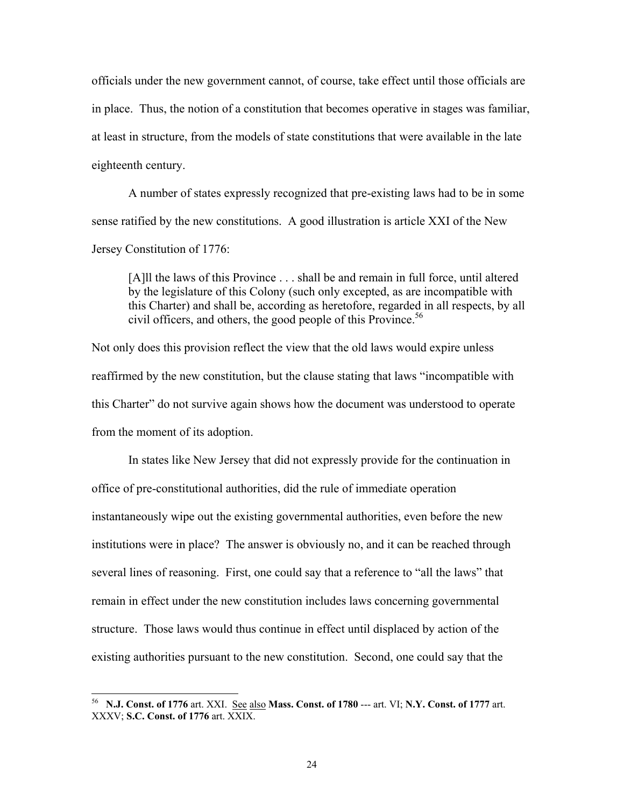officials under the new government cannot, of course, take effect until those officials are in place. Thus, the notion of a constitution that becomes operative in stages was familiar, at least in structure, from the models of state constitutions that were available in the late eighteenth century.

 A number of states expressly recognized that pre-existing laws had to be in some sense ratified by the new constitutions. A good illustration is article XXI of the New Jersey Constitution of 1776:

[A]ll the laws of this Province . . . shall be and remain in full force, until altered by the legislature of this Colony (such only excepted, as are incompatible with this Charter) and shall be, according as heretofore, regarded in all respects, by all civil officers, and others, the good people of this Province.<sup>56</sup>

Not only does this provision reflect the view that the old laws would expire unless reaffirmed by the new constitution, but the clause stating that laws "incompatible with this Charter" do not survive again shows how the document was understood to operate from the moment of its adoption.

In states like New Jersey that did not expressly provide for the continuation in office of pre-constitutional authorities, did the rule of immediate operation instantaneously wipe out the existing governmental authorities, even before the new institutions were in place? The answer is obviously no, and it can be reached through several lines of reasoning. First, one could say that a reference to "all the laws" that remain in effect under the new constitution includes laws concerning governmental structure. Those laws would thus continue in effect until displaced by action of the existing authorities pursuant to the new constitution. Second, one could say that the

l

<sup>56</sup> **N.J. Const. of 1776** art. XXI. See also **Mass. Const. of 1780** --- art. VI; **N.Y. Const. of 1777** art. XXXV; **S.C. Const. of 1776** art. XXIX.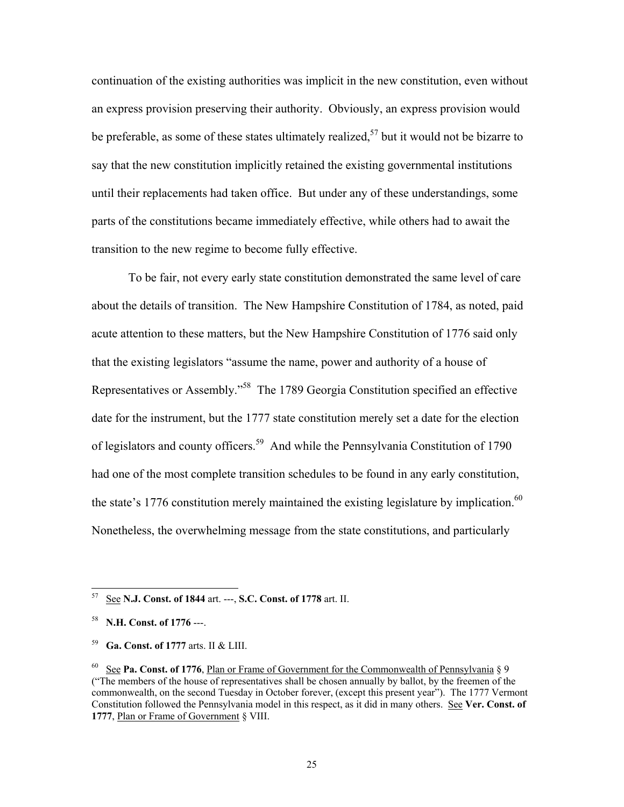continuation of the existing authorities was implicit in the new constitution, even without an express provision preserving their authority. Obviously, an express provision would be preferable, as some of these states ultimately realized,<sup>57</sup> but it would not be bizarre to say that the new constitution implicitly retained the existing governmental institutions until their replacements had taken office. But under any of these understandings, some parts of the constitutions became immediately effective, while others had to await the transition to the new regime to become fully effective.

 To be fair, not every early state constitution demonstrated the same level of care about the details of transition. The New Hampshire Constitution of 1784, as noted, paid acute attention to these matters, but the New Hampshire Constitution of 1776 said only that the existing legislators "assume the name, power and authority of a house of Representatives or Assembly."58 The 1789 Georgia Constitution specified an effective date for the instrument, but the 1777 state constitution merely set a date for the election of legislators and county officers.59 And while the Pennsylvania Constitution of 1790 had one of the most complete transition schedules to be found in any early constitution, the state's 1776 constitution merely maintained the existing legislature by implication.<sup>60</sup> Nonetheless, the overwhelming message from the state constitutions, and particularly

<sup>57</sup> See **N.J. Const. of 1844** art. ---, **S.C. Const. of 1778** art. II.

<sup>58</sup> **N.H. Const. of 1776** ---.

<sup>59</sup> **Ga. Const. of 1777** arts. II & LIII.

<sup>60</sup> See **Pa. Const. of 1776**, Plan or Frame of Government for the Commonwealth of Pennsylvania § 9 ("The members of the house of representatives shall be chosen annually by ballot, by the freemen of the commonwealth, on the second Tuesday in October forever, (except this present year"). The 1777 Vermont Constitution followed the Pennsylvania model in this respect, as it did in many others. See **Ver. Const. of 1777**, Plan or Frame of Government § VIII.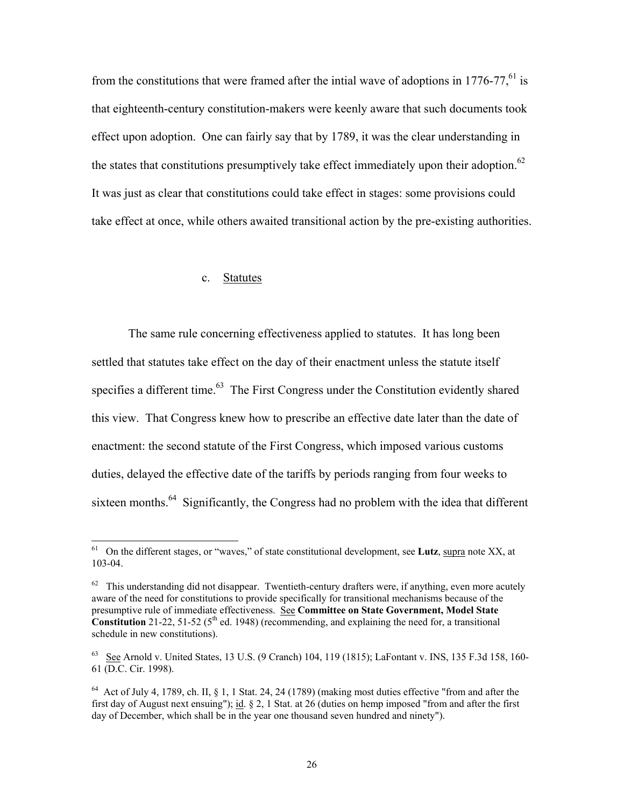from the constitutions that were framed after the intial wave of adoptions in  $1776-77$ , <sup>61</sup> is that eighteenth-century constitution-makers were keenly aware that such documents took effect upon adoption. One can fairly say that by 1789, it was the clear understanding in the states that constitutions presumptively take effect immediately upon their adoption.<sup>62</sup> It was just as clear that constitutions could take effect in stages: some provisions could take effect at once, while others awaited transitional action by the pre-existing authorities.

#### c. Statutes

 $\overline{\phantom{a}}$ 

 The same rule concerning effectiveness applied to statutes. It has long been settled that statutes take effect on the day of their enactment unless the statute itself specifies a different time.<sup>63</sup> The First Congress under the Constitution evidently shared this view. That Congress knew how to prescribe an effective date later than the date of enactment: the second statute of the First Congress, which imposed various customs duties, delayed the effective date of the tariffs by periods ranging from four weeks to sixteen months.<sup>64</sup> Significantly, the Congress had no problem with the idea that different

<sup>61</sup> On the different stages, or "waves," of state constitutional development, see **Lutz**, supra note XX, at 103-04.

 $62$  This understanding did not disappear. Twentieth-century drafters were, if anything, even more acutely aware of the need for constitutions to provide specifically for transitional mechanisms because of the presumptive rule of immediate effectiveness. See **Committee on State Government, Model State Constitution** 21-22, 51-52 ( $5<sup>th</sup>$  ed. 1948) (recommending, and explaining the need for, a transitional schedule in new constitutions).

<sup>&</sup>lt;sup>63</sup> See Arnold v. United States, 13 U.S. (9 Cranch) 104, 119 (1815); LaFontant v. INS, 135 F.3d 158, 160-61 (D.C. Cir. 1998).

 $64$  Act of July 4, 1789, ch. II,  $\S$  1, 1 Stat. 24, 24 (1789) (making most duties effective "from and after the first day of August next ensuing"); id. § 2, 1 Stat. at 26 (duties on hemp imposed "from and after the first day of December, which shall be in the year one thousand seven hundred and ninety").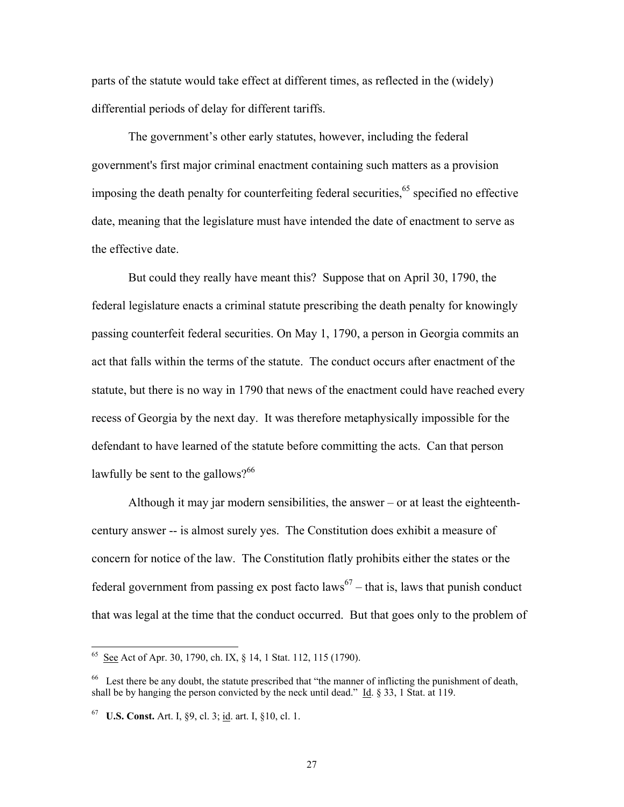parts of the statute would take effect at different times, as reflected in the (widely) differential periods of delay for different tariffs.

 The government's other early statutes, however, including the federal government's first major criminal enactment containing such matters as a provision imposing the death penalty for counterfeiting federal securities,  $65$  specified no effective date, meaning that the legislature must have intended the date of enactment to serve as the effective date.

 But could they really have meant this? Suppose that on April 30, 1790, the federal legislature enacts a criminal statute prescribing the death penalty for knowingly passing counterfeit federal securities. On May 1, 1790, a person in Georgia commits an act that falls within the terms of the statute. The conduct occurs after enactment of the statute, but there is no way in 1790 that news of the enactment could have reached every recess of Georgia by the next day. It was therefore metaphysically impossible for the defendant to have learned of the statute before committing the acts. Can that person lawfully be sent to the gallows? $66$ 

 Although it may jar modern sensibilities, the answer – or at least the eighteenthcentury answer -- is almost surely yes. The Constitution does exhibit a measure of concern for notice of the law. The Constitution flatly prohibits either the states or the federal government from passing ex post facto laws<sup>67</sup> – that is, laws that punish conduct that was legal at the time that the conduct occurred. But that goes only to the problem of

 $65$  See Act of Apr. 30, 1790, ch. IX,  $\S$  14, 1 Stat. 112, 115 (1790).

<sup>&</sup>lt;sup>66</sup> Lest there be any doubt, the statute prescribed that "the manner of inflicting the punishment of death, shall be by hanging the person convicted by the neck until dead." Id. § 33, 1 Stat. at 119.

<sup>67</sup> **U.S. Const.** Art. I, §9, cl. 3; id. art. I, §10, cl. 1.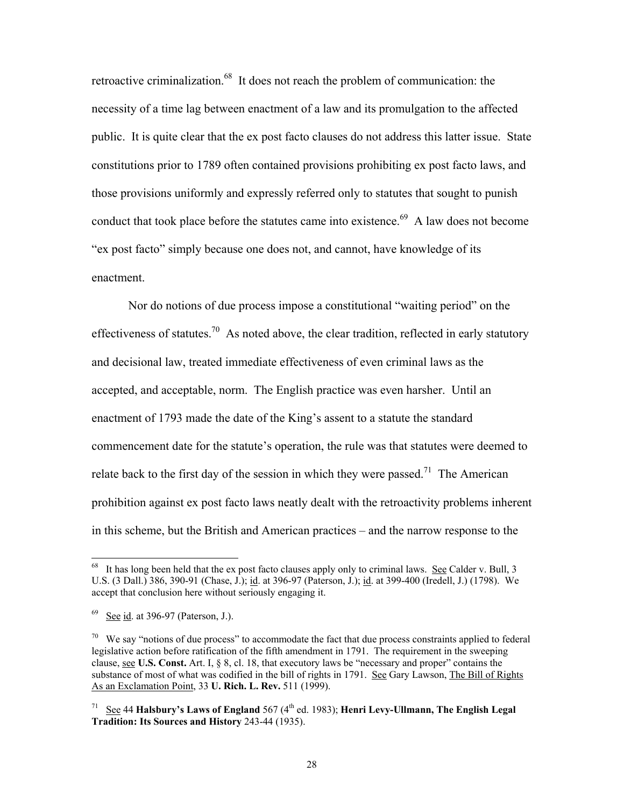retroactive criminalization.<sup>68</sup> It does not reach the problem of communication: the necessity of a time lag between enactment of a law and its promulgation to the affected public. It is quite clear that the ex post facto clauses do not address this latter issue. State constitutions prior to 1789 often contained provisions prohibiting ex post facto laws, and those provisions uniformly and expressly referred only to statutes that sought to punish conduct that took place before the statutes came into existence.<sup>69</sup> A law does not become "ex post facto" simply because one does not, and cannot, have knowledge of its enactment.

 Nor do notions of due process impose a constitutional "waiting period" on the effectiveness of statutes.<sup>70</sup> As noted above, the clear tradition, reflected in early statutory and decisional law, treated immediate effectiveness of even criminal laws as the accepted, and acceptable, norm. The English practice was even harsher. Until an enactment of 1793 made the date of the King's assent to a statute the standard commencement date for the statute's operation, the rule was that statutes were deemed to relate back to the first day of the session in which they were passed.<sup>71</sup> The American prohibition against ex post facto laws neatly dealt with the retroactivity problems inherent in this scheme, but the British and American practices – and the narrow response to the

 $\overline{a}$ 

It has long been held that the ex post facto clauses apply only to criminal laws. See Calder v. Bull, 3 U.S. (3 Dall.) 386, 390-91 (Chase, J.); id. at 396-97 (Paterson, J.); id. at 399-400 (Iredell, J.) (1798). We accept that conclusion here without seriously engaging it.

See id. at 396-97 (Paterson, J.).

 $70\,$  We say "notions of due process" to accommodate the fact that due process constraints applied to federal legislative action before ratification of the fifth amendment in 1791. The requirement in the sweeping clause, see **U.S. Const.** Art. I, § 8, cl. 18, that executory laws be "necessary and proper" contains the substance of most of what was codified in the bill of rights in 1791. See Gary Lawson, The Bill of Rights As an Exclamation Point, 33 **U. Rich. L. Rev.** 511 (1999).

<sup>71</sup> See 44 **Halsbury's Laws of England** 567 (4th ed. 1983); **Henri Levy-Ullmann, The English Legal Tradition: Its Sources and History** 243-44 (1935).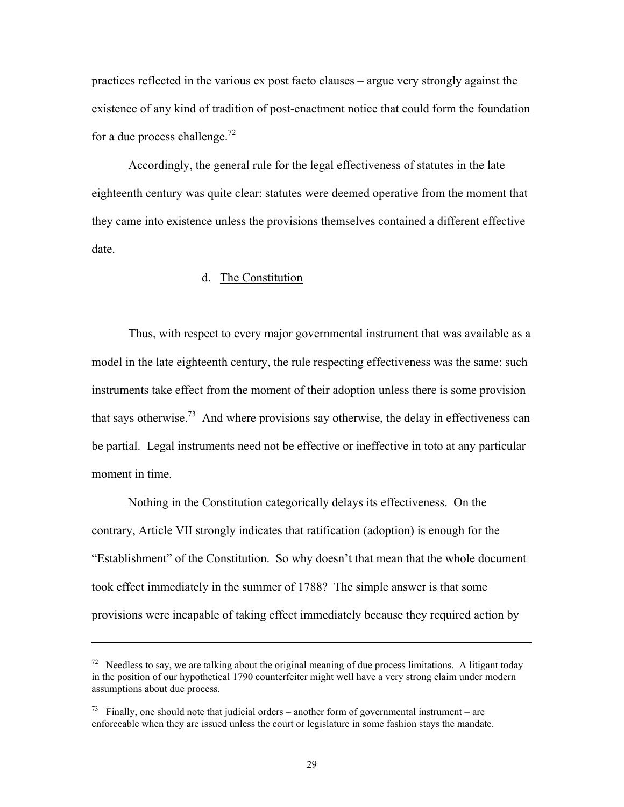practices reflected in the various ex post facto clauses – argue very strongly against the existence of any kind of tradition of post-enactment notice that could form the foundation for a due process challenge.<sup>72</sup>

 Accordingly, the general rule for the legal effectiveness of statutes in the late eighteenth century was quite clear: statutes were deemed operative from the moment that they came into existence unless the provisions themselves contained a different effective date.

#### d. The Constitution

 Thus, with respect to every major governmental instrument that was available as a model in the late eighteenth century, the rule respecting effectiveness was the same: such instruments take effect from the moment of their adoption unless there is some provision that says otherwise.<sup>73</sup> And where provisions say otherwise, the delay in effectiveness can be partial. Legal instruments need not be effective or ineffective in toto at any particular moment in time.

 Nothing in the Constitution categorically delays its effectiveness. On the contrary, Article VII strongly indicates that ratification (adoption) is enough for the "Establishment" of the Constitution. So why doesn't that mean that the whole document took effect immediately in the summer of 1788? The simple answer is that some provisions were incapable of taking effect immediately because they required action by

 $\overline{\phantom{a}}$ 

29

<sup>&</sup>lt;sup>72</sup> Needless to say, we are talking about the original meaning of due process limitations. A litigant today in the position of our hypothetical 1790 counterfeiter might well have a very strong claim under modern assumptions about due process.

 $^{73}$  Finally, one should note that judicial orders – another form of governmental instrument – are enforceable when they are issued unless the court or legislature in some fashion stays the mandate.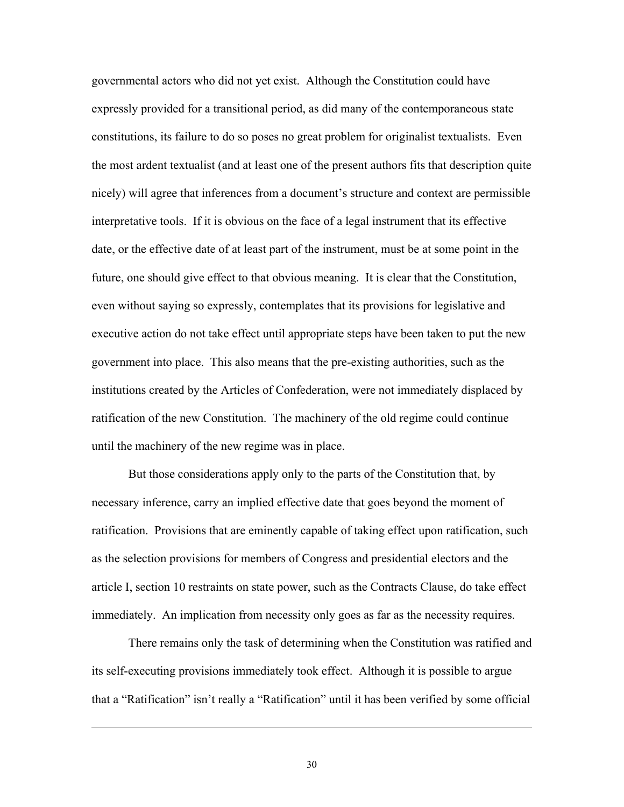governmental actors who did not yet exist. Although the Constitution could have expressly provided for a transitional period, as did many of the contemporaneous state constitutions, its failure to do so poses no great problem for originalist textualists. Even the most ardent textualist (and at least one of the present authors fits that description quite nicely) will agree that inferences from a document's structure and context are permissible interpretative tools. If it is obvious on the face of a legal instrument that its effective date, or the effective date of at least part of the instrument, must be at some point in the future, one should give effect to that obvious meaning. It is clear that the Constitution, even without saying so expressly, contemplates that its provisions for legislative and executive action do not take effect until appropriate steps have been taken to put the new government into place. This also means that the pre-existing authorities, such as the institutions created by the Articles of Confederation, were not immediately displaced by ratification of the new Constitution. The machinery of the old regime could continue until the machinery of the new regime was in place.

 But those considerations apply only to the parts of the Constitution that, by necessary inference, carry an implied effective date that goes beyond the moment of ratification. Provisions that are eminently capable of taking effect upon ratification, such as the selection provisions for members of Congress and presidential electors and the article I, section 10 restraints on state power, such as the Contracts Clause, do take effect immediately. An implication from necessity only goes as far as the necessity requires.

 There remains only the task of determining when the Constitution was ratified and its self-executing provisions immediately took effect. Although it is possible to argue that a "Ratification" isn't really a "Ratification" until it has been verified by some official

30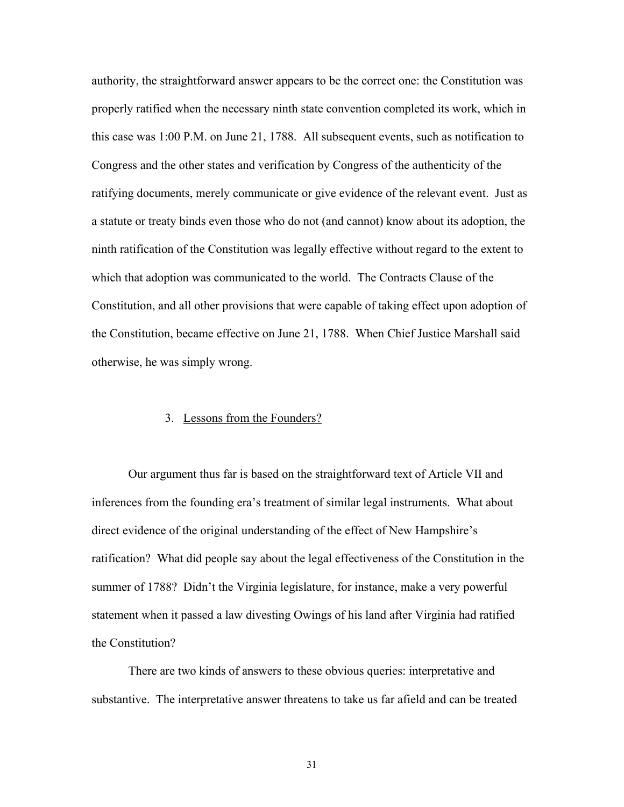authority, the straightforward answer appears to be the correct one: the Constitution was properly ratified when the necessary ninth state convention completed its work, which in this case was 1:00 P.M. on June 21, 1788. All subsequent events, such as notification to Congress and the other states and verification by Congress of the authenticity of the ratifying documents, merely communicate or give evidence of the relevant event. Just as a statute or treaty binds even those who do not (and cannot) know about its adoption, the ninth ratification of the Constitution was legally effective without regard to the extent to which that adoption was communicated to the world. The Contracts Clause of the Constitution, and all other provisions that were capable of taking effect upon adoption of the Constitution, became effective on June 21, 1788. When Chief Justice Marshall said otherwise, he was simply wrong.

#### 3. Lessons from the Founders?

 Our argument thus far is based on the straightforward text of Article VII and inferences from the founding era's treatment of similar legal instruments. What about direct evidence of the original understanding of the effect of New Hampshire's ratification? What did people say about the legal effectiveness of the Constitution in the summer of 1788? Didn't the Virginia legislature, for instance, make a very powerful statement when it passed a law divesting Owings of his land after Virginia had ratified the Constitution?

 There are two kinds of answers to these obvious queries: interpretative and substantive. The interpretative answer threatens to take us far afield and can be treated

31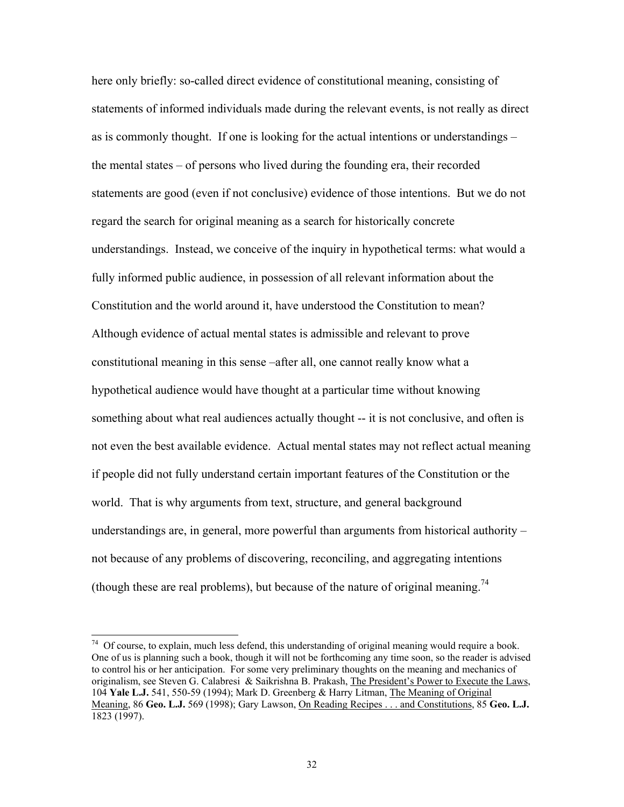here only briefly: so-called direct evidence of constitutional meaning, consisting of statements of informed individuals made during the relevant events, is not really as direct as is commonly thought. If one is looking for the actual intentions or understandings – the mental states – of persons who lived during the founding era, their recorded statements are good (even if not conclusive) evidence of those intentions. But we do not regard the search for original meaning as a search for historically concrete understandings. Instead, we conceive of the inquiry in hypothetical terms: what would a fully informed public audience, in possession of all relevant information about the Constitution and the world around it, have understood the Constitution to mean? Although evidence of actual mental states is admissible and relevant to prove constitutional meaning in this sense –after all, one cannot really know what a hypothetical audience would have thought at a particular time without knowing something about what real audiences actually thought -- it is not conclusive, and often is not even the best available evidence. Actual mental states may not reflect actual meaning if people did not fully understand certain important features of the Constitution or the world. That is why arguments from text, structure, and general background understandings are, in general, more powerful than arguments from historical authority – not because of any problems of discovering, reconciling, and aggregating intentions (though these are real problems), but because of the nature of original meaning.<sup>74</sup>

 $74$  Of course, to explain, much less defend, this understanding of original meaning would require a book. One of us is planning such a book, though it will not be forthcoming any time soon, so the reader is advised to control his or her anticipation. For some very preliminary thoughts on the meaning and mechanics of originalism, see Steven G. Calabresi & Saikrishna B. Prakash, The President's Power to Execute the Laws, 104 **Yale L.J.** 541, 550-59 (1994); Mark D. Greenberg & Harry Litman, The Meaning of Original Meaning, 86 **Geo. L.J.** 569 (1998); Gary Lawson, On Reading Recipes . . . and Constitutions, 85 **Geo. L.J.** 1823 (1997).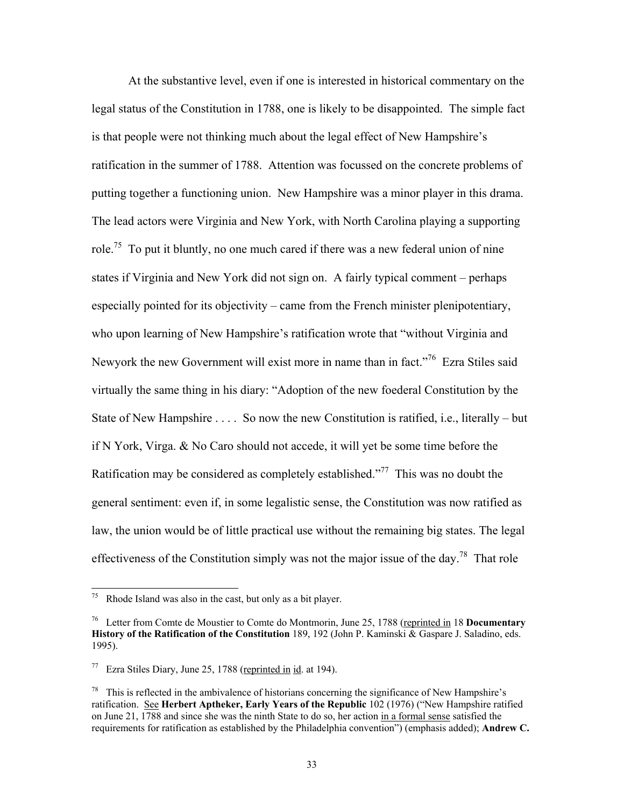At the substantive level, even if one is interested in historical commentary on the legal status of the Constitution in 1788, one is likely to be disappointed. The simple fact is that people were not thinking much about the legal effect of New Hampshire's ratification in the summer of 1788. Attention was focussed on the concrete problems of putting together a functioning union. New Hampshire was a minor player in this drama. The lead actors were Virginia and New York, with North Carolina playing a supporting role.<sup>75</sup> To put it bluntly, no one much cared if there was a new federal union of nine states if Virginia and New York did not sign on. A fairly typical comment – perhaps especially pointed for its objectivity – came from the French minister plenipotentiary, who upon learning of New Hampshire's ratification wrote that "without Virginia and Newyork the new Government will exist more in name than in fact."76 Ezra Stiles said virtually the same thing in his diary: "Adoption of the new foederal Constitution by the State of New Hampshire . . . . So now the new Constitution is ratified, i.e., literally – but if N York, Virga. & No Caro should not accede, it will yet be some time before the Ratification may be considered as completely established."<sup>77</sup> This was no doubt the general sentiment: even if, in some legalistic sense, the Constitution was now ratified as law, the union would be of little practical use without the remaining big states. The legal effectiveness of the Constitution simply was not the major issue of the day.<sup>78</sup> That role

<sup>75</sup> Rhode Island was also in the cast, but only as a bit player.

<sup>76</sup> Letter from Comte de Moustier to Comte do Montmorin, June 25, 1788 (reprinted in 18 **Documentary History of the Ratification of the Constitution** 189, 192 (John P. Kaminski & Gaspare J. Saladino, eds. 1995).

 $77$  Ezra Stiles Diary, June 25, 1788 (reprinted in id. at 194).

 $78$  This is reflected in the ambivalence of historians concerning the significance of New Hampshire's ratification. See **Herbert Aptheker, Early Years of the Republic** 102 (1976) ("New Hampshire ratified on June 21, 1788 and since she was the ninth State to do so, her action in a formal sense satisfied the requirements for ratification as established by the Philadelphia convention") (emphasis added); **Andrew C.**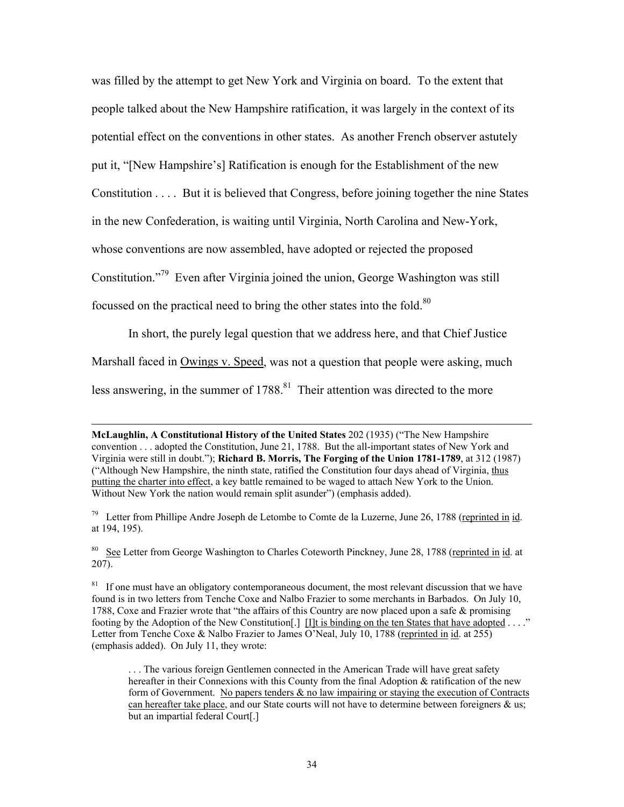was filled by the attempt to get New York and Virginia on board. To the extent that people talked about the New Hampshire ratification, it was largely in the context of its potential effect on the conventions in other states. As another French observer astutely put it, "[New Hampshire's] Ratification is enough for the Establishment of the new Constitution . . . . But it is believed that Congress, before joining together the nine States in the new Confederation, is waiting until Virginia, North Carolina and New-York, whose conventions are now assembled, have adopted or rejected the proposed Constitution."79 Even after Virginia joined the union, George Washington was still focussed on the practical need to bring the other states into the fold.<sup>80</sup>

 In short, the purely legal question that we address here, and that Chief Justice Marshall faced in Owings v. Speed, was not a question that people were asking, much less answering, in the summer of  $1788$ <sup>81</sup> Their attention was directed to the more

 $\overline{\phantom{a}}$ 

<sup>80</sup> See Letter from George Washington to Charles Coteworth Pinckney, June 28, 1788 (reprinted in id. at 207).

<sup>81</sup> If one must have an obligatory contemporaneous document, the most relevant discussion that we have found is in two letters from Tenche Coxe and Nalbo Frazier to some merchants in Barbados. On July 10, 1788, Coxe and Frazier wrote that "the affairs of this Country are now placed upon a safe & promising footing by the Adoption of the New Constitution [.]  $\text{[I]t}$  is binding on the ten States that have adopted . . . ." Letter from Tenche Coxe & Nalbo Frazier to James O'Neal, July 10, 1788 (reprinted in id. at 255) (emphasis added). On July 11, they wrote:

. . . The various foreign Gentlemen connected in the American Trade will have great safety hereafter in their Connexions with this County from the final Adoption & ratification of the new form of Government. No papers tenders  $\&$  no law impairing or staying the execution of Contracts can hereafter take place, and our State courts will not have to determine between foreigners  $\&$  us; but an impartial federal Court[.]

**McLaughlin, A Constitutional History of the United States** 202 (1935) ("The New Hampshire convention . . . adopted the Constitution, June 21, 1788. But the all-important states of New York and Virginia were still in doubt."); **Richard B. Morris, The Forging of the Union 1781-1789**, at 312 (1987) ("Although New Hampshire, the ninth state, ratified the Constitution four days ahead of Virginia, thus putting the charter into effect, a key battle remained to be waged to attach New York to the Union. Without New York the nation would remain split asunder") (emphasis added).

<sup>&</sup>lt;sup>79</sup> Letter from Phillipe Andre Joseph de Letombe to Comte de la Luzerne, June 26, 1788 (reprinted in id. at 194, 195).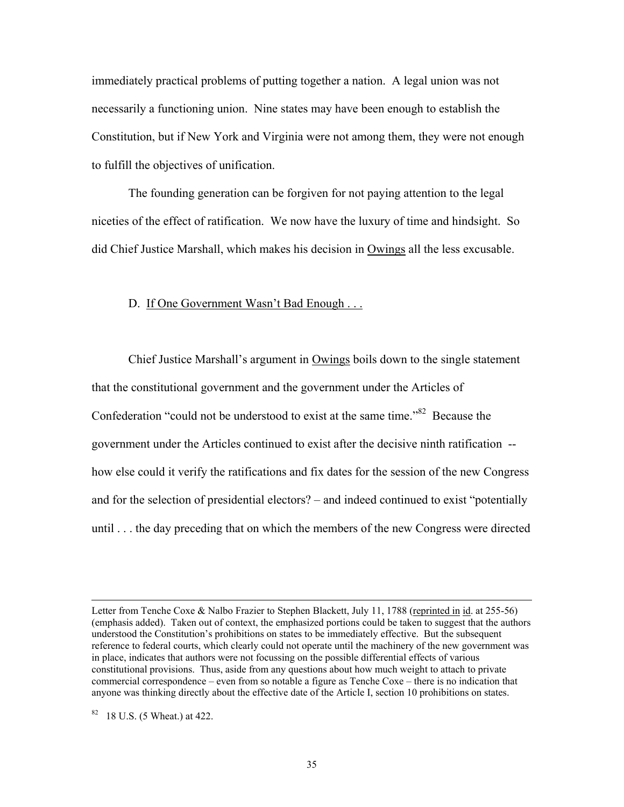immediately practical problems of putting together a nation. A legal union was not necessarily a functioning union. Nine states may have been enough to establish the Constitution, but if New York and Virginia were not among them, they were not enough to fulfill the objectives of unification.

 The founding generation can be forgiven for not paying attention to the legal niceties of the effect of ratification. We now have the luxury of time and hindsight. So did Chief Justice Marshall, which makes his decision in Owings all the less excusable.

#### D. If One Government Wasn't Bad Enough . . .

 Chief Justice Marshall's argument in Owings boils down to the single statement that the constitutional government and the government under the Articles of Confederation "could not be understood to exist at the same time."<sup>82</sup> Because the government under the Articles continued to exist after the decisive ninth ratification - how else could it verify the ratifications and fix dates for the session of the new Congress and for the selection of presidential electors? – and indeed continued to exist "potentially until . . . the day preceding that on which the members of the new Congress were directed

Letter from Tenche Coxe & Nalbo Frazier to Stephen Blackett, July 11, 1788 (reprinted in id. at 255-56) (emphasis added). Taken out of context, the emphasized portions could be taken to suggest that the authors understood the Constitution's prohibitions on states to be immediately effective. But the subsequent reference to federal courts, which clearly could not operate until the machinery of the new government was in place, indicates that authors were not focussing on the possible differential effects of various constitutional provisions. Thus, aside from any questions about how much weight to attach to private commercial correspondence – even from so notable a figure as Tenche Coxe – there is no indication that anyone was thinking directly about the effective date of the Article I, section 10 prohibitions on states.

<sup>82 18</sup> U.S. (5 Wheat.) at 422.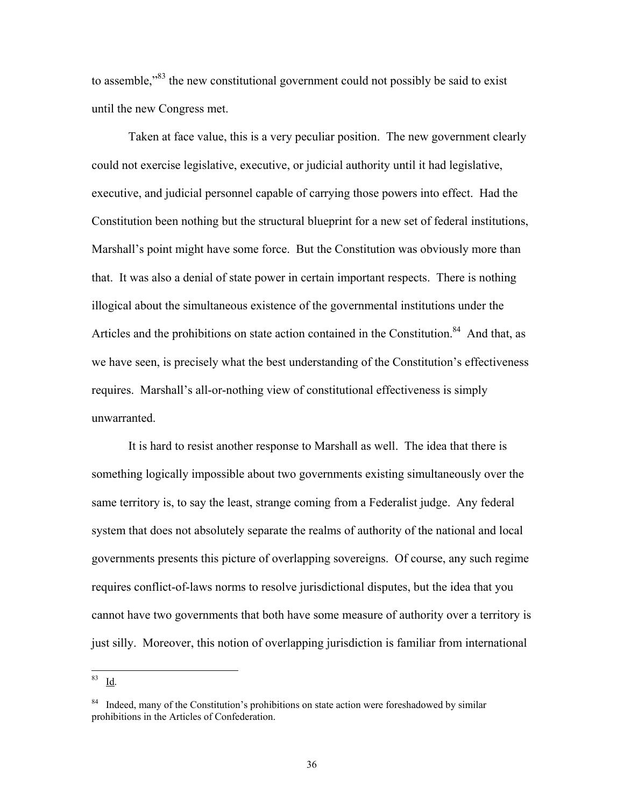to assemble,"83 the new constitutional government could not possibly be said to exist until the new Congress met.

 Taken at face value, this is a very peculiar position. The new government clearly could not exercise legislative, executive, or judicial authority until it had legislative, executive, and judicial personnel capable of carrying those powers into effect. Had the Constitution been nothing but the structural blueprint for a new set of federal institutions, Marshall's point might have some force. But the Constitution was obviously more than that. It was also a denial of state power in certain important respects. There is nothing illogical about the simultaneous existence of the governmental institutions under the Articles and the prohibitions on state action contained in the Constitution.<sup>84</sup> And that, as we have seen, is precisely what the best understanding of the Constitution's effectiveness requires. Marshall's all-or-nothing view of constitutional effectiveness is simply unwarranted.

 It is hard to resist another response to Marshall as well. The idea that there is something logically impossible about two governments existing simultaneously over the same territory is, to say the least, strange coming from a Federalist judge. Any federal system that does not absolutely separate the realms of authority of the national and local governments presents this picture of overlapping sovereigns. Of course, any such regime requires conflict-of-laws norms to resolve jurisdictional disputes, but the idea that you cannot have two governments that both have some measure of authority over a territory is just silly. Moreover, this notion of overlapping jurisdiction is familiar from international

<sup>83</sup> Id.

<sup>&</sup>lt;sup>84</sup> Indeed, many of the Constitution's prohibitions on state action were foreshadowed by similar prohibitions in the Articles of Confederation.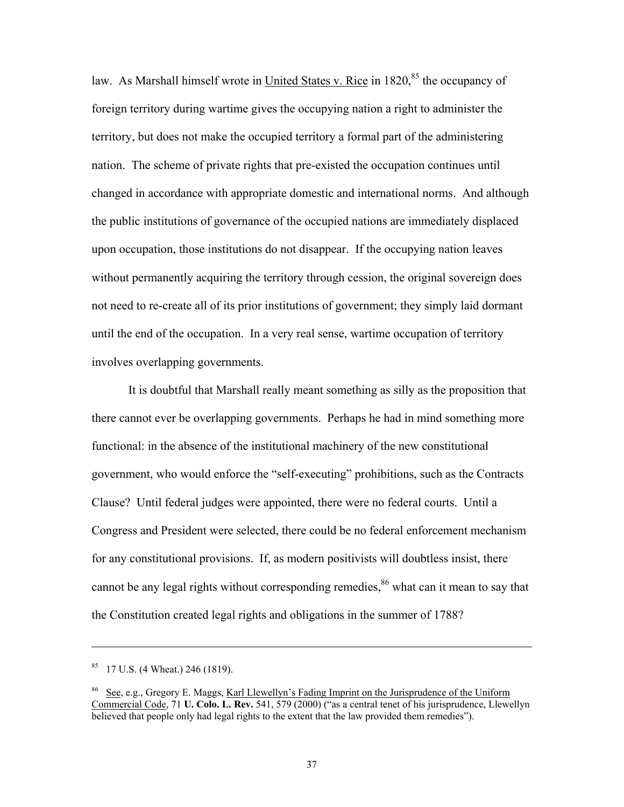law. As Marshall himself wrote in United States v. Rice in  $1820$ <sup>85</sup> the occupancy of foreign territory during wartime gives the occupying nation a right to administer the territory, but does not make the occupied territory a formal part of the administering nation. The scheme of private rights that pre-existed the occupation continues until changed in accordance with appropriate domestic and international norms. And although the public institutions of governance of the occupied nations are immediately displaced upon occupation, those institutions do not disappear. If the occupying nation leaves without permanently acquiring the territory through cession, the original sovereign does not need to re-create all of its prior institutions of government; they simply laid dormant until the end of the occupation. In a very real sense, wartime occupation of territory involves overlapping governments.

 It is doubtful that Marshall really meant something as silly as the proposition that there cannot ever be overlapping governments. Perhaps he had in mind something more functional: in the absence of the institutional machinery of the new constitutional government, who would enforce the "self-executing" prohibitions, such as the Contracts Clause? Until federal judges were appointed, there were no federal courts. Until a Congress and President were selected, there could be no federal enforcement mechanism for any constitutional provisions. If, as modern positivists will doubtless insist, there cannot be any legal rights without corresponding remedies,<sup>86</sup> what can it mean to say that the Constitution created legal rights and obligations in the summer of 1788?

 $85$  17 U.S. (4 Wheat.) 246 (1819).

<sup>86</sup> See, e.g., Gregory E. Maggs, Karl Llewellyn's Fading Imprint on the Jurisprudence of the Uniform Commercial Code, 71 **U. Colo. L. Rev.** 541, 579 (2000) ("as a central tenet of his jurisprudence, Llewellyn believed that people only had legal rights to the extent that the law provided them remedies").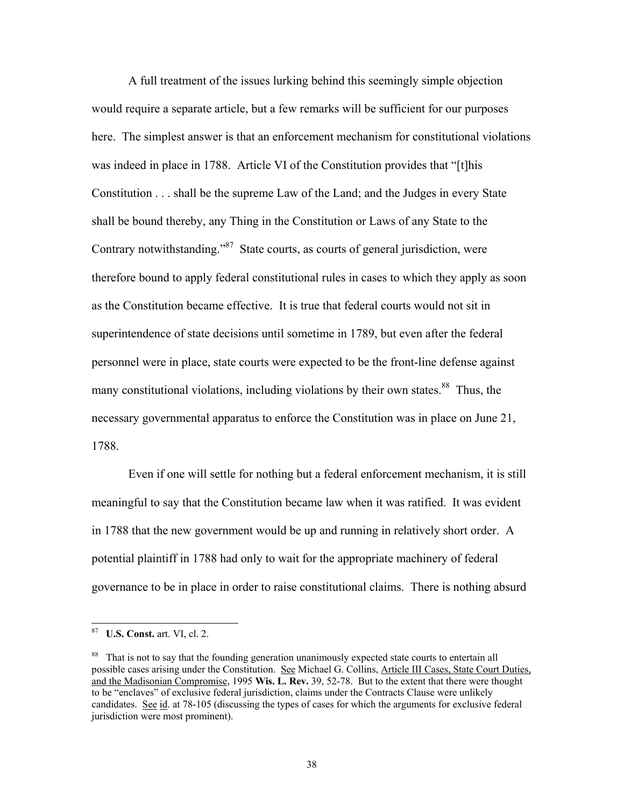A full treatment of the issues lurking behind this seemingly simple objection would require a separate article, but a few remarks will be sufficient for our purposes here. The simplest answer is that an enforcement mechanism for constitutional violations was indeed in place in 1788. Article VI of the Constitution provides that "[t]his Constitution . . . shall be the supreme Law of the Land; and the Judges in every State shall be bound thereby, any Thing in the Constitution or Laws of any State to the Contrary notwithstanding."<sup>87</sup> State courts, as courts of general jurisdiction, were therefore bound to apply federal constitutional rules in cases to which they apply as soon as the Constitution became effective. It is true that federal courts would not sit in superintendence of state decisions until sometime in 1789, but even after the federal personnel were in place, state courts were expected to be the front-line defense against many constitutional violations, including violations by their own states.<sup>88</sup> Thus, the necessary governmental apparatus to enforce the Constitution was in place on June 21, 1788.

 Even if one will settle for nothing but a federal enforcement mechanism, it is still meaningful to say that the Constitution became law when it was ratified. It was evident in 1788 that the new government would be up and running in relatively short order. A potential plaintiff in 1788 had only to wait for the appropriate machinery of federal governance to be in place in order to raise constitutional claims. There is nothing absurd

<sup>87</sup> **U.S. Const.** art. VI, cl. 2.

<sup>&</sup>lt;sup>88</sup> That is not to say that the founding generation unanimously expected state courts to entertain all possible cases arising under the Constitution. See Michael G. Collins, Article III Cases, State Court Duties, and the Madisonian Compromise, 1995 **Wis. L. Rev.** 39, 52-78. But to the extent that there were thought to be "enclaves" of exclusive federal jurisdiction, claims under the Contracts Clause were unlikely candidates. See id. at 78-105 (discussing the types of cases for which the arguments for exclusive federal jurisdiction were most prominent).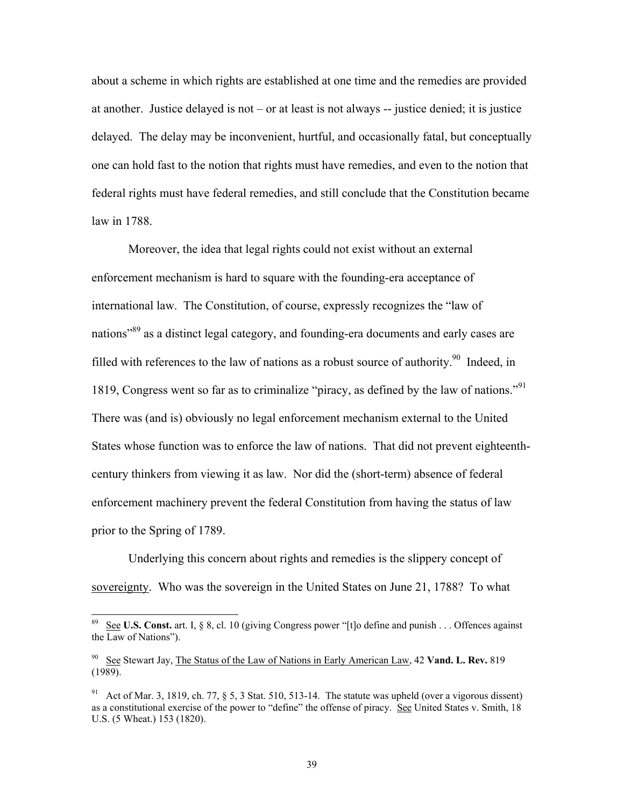about a scheme in which rights are established at one time and the remedies are provided at another. Justice delayed is not – or at least is not always -- justice denied; it is justice delayed. The delay may be inconvenient, hurtful, and occasionally fatal, but conceptually one can hold fast to the notion that rights must have remedies, and even to the notion that federal rights must have federal remedies, and still conclude that the Constitution became law in 1788.

 Moreover, the idea that legal rights could not exist without an external enforcement mechanism is hard to square with the founding-era acceptance of international law. The Constitution, of course, expressly recognizes the "law of nations<sup>89</sup> as a distinct legal category, and founding-era documents and early cases are filled with references to the law of nations as a robust source of authority.<sup>90</sup> Indeed, in 1819, Congress went so far as to criminalize "piracy, as defined by the law of nations."91 There was (and is) obviously no legal enforcement mechanism external to the United States whose function was to enforce the law of nations. That did not prevent eighteenthcentury thinkers from viewing it as law. Nor did the (short-term) absence of federal enforcement machinery prevent the federal Constitution from having the status of law prior to the Spring of 1789.

 Underlying this concern about rights and remedies is the slippery concept of sovereignty. Who was the sovereign in the United States on June 21, 1788? To what

 $\overline{a}$ 

See **U.S. Const.** art. I, § 8, cl. 10 (giving Congress power "[t]o define and punish . . . Offences against the Law of Nations").

<sup>90</sup> See Stewart Jay, The Status of the Law of Nations in Early American Law, 42 **Vand. L. Rev.** 819 (1989).

<sup>&</sup>lt;sup>91</sup> Act of Mar. 3, 1819, ch. 77,  $\S$  5, 3 Stat. 510, 513-14. The statute was upheld (over a vigorous dissent) as a constitutional exercise of the power to "define" the offense of piracy. See United States v. Smith, 18 U.S. (5 Wheat.) 153 (1820).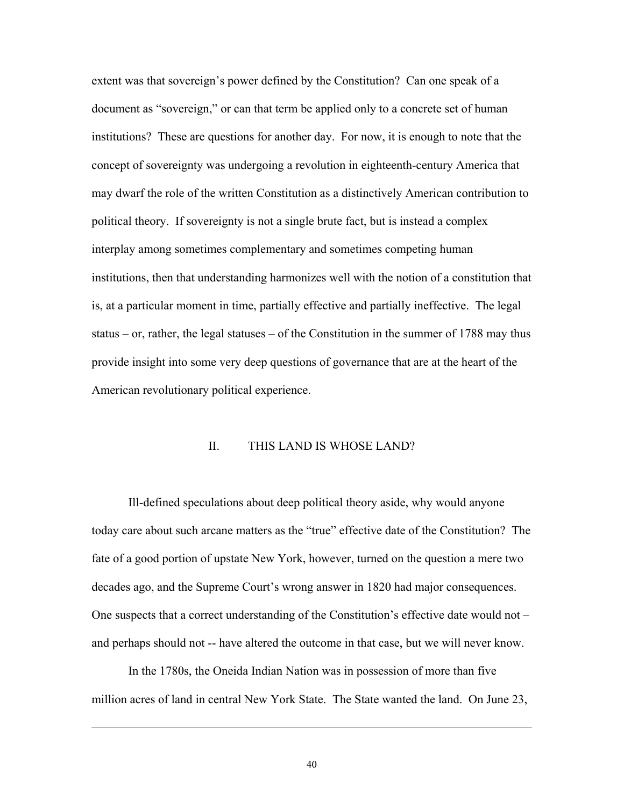extent was that sovereign's power defined by the Constitution? Can one speak of a document as "sovereign," or can that term be applied only to a concrete set of human institutions? These are questions for another day. For now, it is enough to note that the concept of sovereignty was undergoing a revolution in eighteenth-century America that may dwarf the role of the written Constitution as a distinctively American contribution to political theory. If sovereignty is not a single brute fact, but is instead a complex interplay among sometimes complementary and sometimes competing human institutions, then that understanding harmonizes well with the notion of a constitution that is, at a particular moment in time, partially effective and partially ineffective. The legal status – or, rather, the legal statuses – of the Constitution in the summer of 1788 may thus provide insight into some very deep questions of governance that are at the heart of the American revolutionary political experience.

#### II. THIS LAND IS WHOSE LAND?

Ill-defined speculations about deep political theory aside, why would anyone today care about such arcane matters as the "true" effective date of the Constitution? The fate of a good portion of upstate New York, however, turned on the question a mere two decades ago, and the Supreme Court's wrong answer in 1820 had major consequences. One suspects that a correct understanding of the Constitution's effective date would not – and perhaps should not -- have altered the outcome in that case, but we will never know.

In the 1780s, the Oneida Indian Nation was in possession of more than five million acres of land in central New York State. The State wanted the land. On June 23,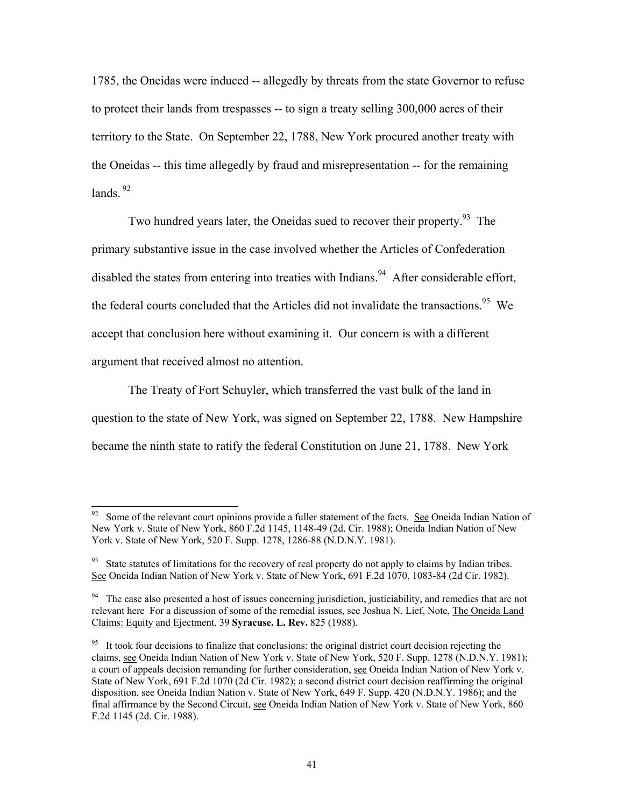1785, the Oneidas were induced -- allegedly by threats from the state Governor to refuse to protect their lands from trespasses -- to sign a treaty selling 300,000 acres of their territory to the State. On September 22, 1788, New York procured another treaty with the Oneidas -- this time allegedly by fraud and misrepresentation -- for the remaining  $lands<sup>92</sup>$ 

Two hundred years later, the Oneidas sued to recover their property.<sup>93</sup> The primary substantive issue in the case involved whether the Articles of Confederation disabled the states from entering into treaties with Indians.<sup>94</sup> After considerable effort, the federal courts concluded that the Articles did not invalidate the transactions.<sup>95</sup> We accept that conclusion here without examining it. Our concern is with a different argument that received almost no attention.

The Treaty of Fort Schuyler, which transferred the vast bulk of the land in question to the state of New York, was signed on September 22, 1788. New Hampshire became the ninth state to ratify the federal Constitution on June 21, 1788. New York

 $92$  Some of the relevant court opinions provide a fuller statement of the facts. See Oneida Indian Nation of New York v. State of New York, 860 F.2d 1145, 1148-49 (2d. Cir. 1988); Oneida Indian Nation of New York v. State of New York, 520 F. Supp. 1278, 1286-88 (N.D.N.Y. 1981).

<sup>&</sup>lt;sup>93</sup> State statutes of limitations for the recovery of real property do not apply to claims by Indian tribes. See Oneida Indian Nation of New York v. State of New York, 691 F.2d 1070, 1083-84 (2d Cir. 1982).

<sup>&</sup>lt;sup>94</sup> The case also presented a host of issues concerning jurisdiction, justiciability, and remedies that are not relevant here For a discussion of some of the remedial issues, see Joshua N. Lief, Note, The Oneida Land Claims: Equity and Ejectment, 39 **Syracuse. L. Rev.** 825 (1988).

<sup>&</sup>lt;sup>95</sup> It took four decisions to finalize that conclusions: the original district court decision rejecting the claims, see Oneida Indian Nation of New York v. State of New York, 520 F. Supp. 1278 (N.D.N.Y. 1981); a court of appeals decision remanding for further consideration, see Oneida Indian Nation of New York v. State of New York, 691 F.2d 1070 (2d Cir. 1982); a second district court decision reaffirming the original disposition, see Oneida Indian Nation v. State of New York, 649 F. Supp. 420 (N.D.N.Y. 1986); and the final affirmance by the Second Circuit, see Oneida Indian Nation of New York v. State of New York, 860 F.2d 1145 (2d. Cir. 1988).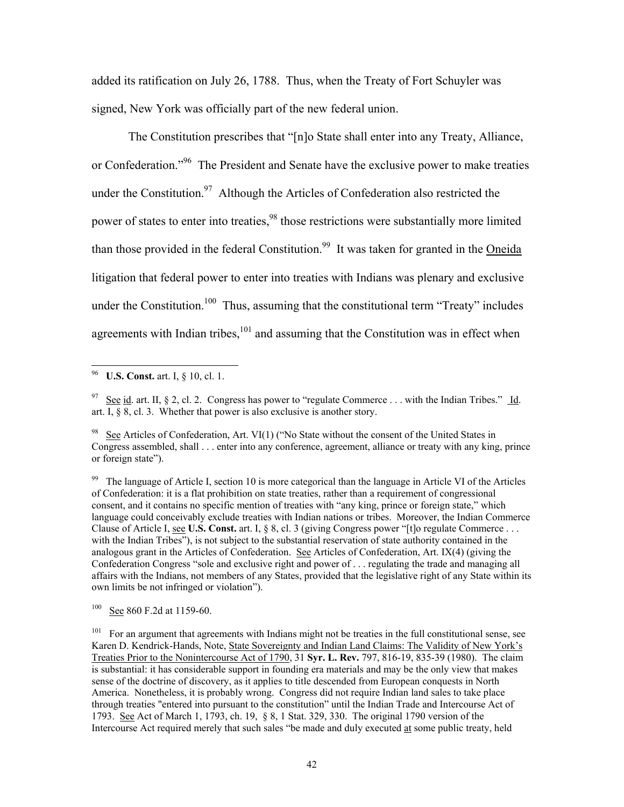added its ratification on July 26, 1788. Thus, when the Treaty of Fort Schuyler was signed, New York was officially part of the new federal union.

The Constitution prescribes that "[n]o State shall enter into any Treaty, Alliance, or Confederation."<sup>96</sup> The President and Senate have the exclusive power to make treaties under the Constitution.<sup>97</sup> Although the Articles of Confederation also restricted the power of states to enter into treaties,<sup>98</sup> those restrictions were substantially more limited than those provided in the federal Constitution.<sup>99</sup> It was taken for granted in the Oneida litigation that federal power to enter into treaties with Indians was plenary and exclusive under the Constitution.<sup>100</sup> Thus, assuming that the constitutional term "Treaty" includes agreements with Indian tribes, $101$  and assuming that the Constitution was in effect when

**U.S. Const.** art. I, § 10, cl. 1.

See id. art. II, § 2, cl. 2. Congress has power to "regulate Commerce . . . with the Indian Tribes." Id. art. I, § 8, cl. 3. Whether that power is also exclusive is another story.

<sup>&</sup>lt;sup>98</sup> See Articles of Confederation, Art. VI $(1)$  ("No State without the consent of the United States in Congress assembled, shall . . . enter into any conference, agreement, alliance or treaty with any king, prince or foreign state").

<sup>&</sup>lt;sup>99</sup> The language of Article I, section 10 is more categorical than the language in Article VI of the Articles of Confederation: it is a flat prohibition on state treaties, rather than a requirement of congressional consent, and it contains no specific mention of treaties with "any king, prince or foreign state," which language could conceivably exclude treaties with Indian nations or tribes. Moreover, the Indian Commerce Clause of Article I, see **U.S. Const.** art. I, § 8, cl. 3 (giving Congress power "[t]o regulate Commerce . . . with the Indian Tribes"), is not subject to the substantial reservation of state authority contained in the analogous grant in the Articles of Confederation. See Articles of Confederation, Art. IX(4) (giving the Confederation Congress "sole and exclusive right and power of . . . regulating the trade and managing all affairs with the Indians, not members of any States, provided that the legislative right of any State within its own limits be not infringed or violation").

<sup>100</sup> See 860 F.2d at 1159-60.

<sup>&</sup>lt;sup>101</sup> For an argument that agreements with Indians might not be treaties in the full constitutional sense, see Karen D. Kendrick-Hands, Note, State Sovereignty and Indian Land Claims: The Validity of New York's Treaties Prior to the Nonintercourse Act of 1790, 31 **Syr. L. Rev.** 797, 816-19, 835-39 (1980). The claim is substantial: it has considerable support in founding era materials and may be the only view that makes sense of the doctrine of discovery, as it applies to title descended from European conquests in North America. Nonetheless, it is probably wrong. Congress did not require Indian land sales to take place through treaties "entered into pursuant to the constitution" until the Indian Trade and Intercourse Act of 1793. See Act of March 1, 1793, ch. 19, § 8, 1 Stat. 329, 330. The original 1790 version of the Intercourse Act required merely that such sales "be made and duly executed at some public treaty, held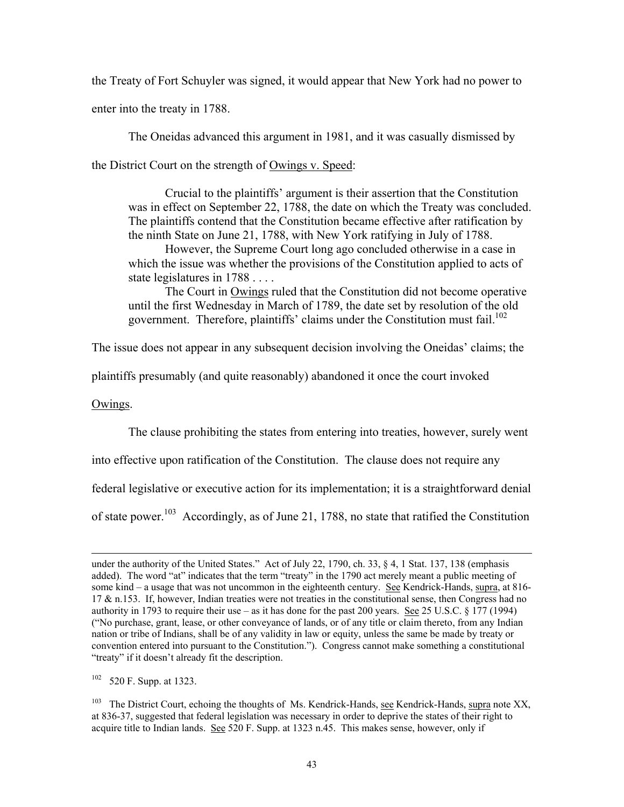the Treaty of Fort Schuyler was signed, it would appear that New York had no power to

enter into the treaty in 1788.

The Oneidas advanced this argument in 1981, and it was casually dismissed by

the District Court on the strength of Owings v. Speed:

Crucial to the plaintiffs' argument is their assertion that the Constitution was in effect on September 22, 1788, the date on which the Treaty was concluded. The plaintiffs contend that the Constitution became effective after ratification by the ninth State on June 21, 1788, with New York ratifying in July of 1788.

However, the Supreme Court long ago concluded otherwise in a case in which the issue was whether the provisions of the Constitution applied to acts of state legislatures in 1788 . . . .

The Court in Owings ruled that the Constitution did not become operative until the first Wednesday in March of 1789, the date set by resolution of the old government. Therefore, plaintiffs' claims under the Constitution must fail.<sup>102</sup>

The issue does not appear in any subsequent decision involving the Oneidas' claims; the

plaintiffs presumably (and quite reasonably) abandoned it once the court invoked

Owings.

 $\overline{\phantom{a}}$ 

The clause prohibiting the states from entering into treaties, however, surely went

into effective upon ratification of the Constitution. The clause does not require any

federal legislative or executive action for its implementation; it is a straightforward denial

of state power.<sup>103</sup> Accordingly, as of June 21, 1788, no state that ratified the Constitution

102 520 F. Supp. at 1323.

<sup>103</sup> The District Court, echoing the thoughts of Ms. Kendrick-Hands, see Kendrick-Hands, supra note XX, at 836-37, suggested that federal legislation was necessary in order to deprive the states of their right to acquire title to Indian lands. See 520 F. Supp. at 1323 n.45. This makes sense, however, only if

under the authority of the United States." Act of July 22, 1790, ch. 33, § 4, 1 Stat. 137, 138 (emphasis added). The word "at" indicates that the term "treaty" in the 1790 act merely meant a public meeting of some kind – a usage that was not uncommon in the eighteenth century. See Kendrick-Hands, supra, at 816-17 & n.153. If, however, Indian treaties were not treaties in the constitutional sense, then Congress had no authority in 1793 to require their use – as it has done for the past 200 years. See 25 U.S.C. § 177 (1994) ("No purchase, grant, lease, or other conveyance of lands, or of any title or claim thereto, from any Indian nation or tribe of Indians, shall be of any validity in law or equity, unless the same be made by treaty or convention entered into pursuant to the Constitution."). Congress cannot make something a constitutional "treaty" if it doesn't already fit the description.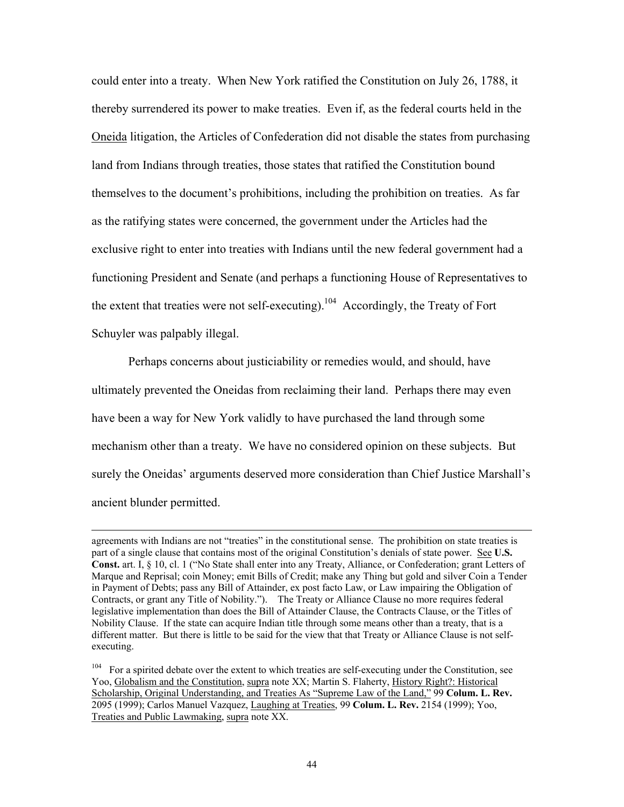could enter into a treaty. When New York ratified the Constitution on July 26, 1788, it thereby surrendered its power to make treaties. Even if, as the federal courts held in the Oneida litigation, the Articles of Confederation did not disable the states from purchasing land from Indians through treaties, those states that ratified the Constitution bound themselves to the document's prohibitions, including the prohibition on treaties. As far as the ratifying states were concerned, the government under the Articles had the exclusive right to enter into treaties with Indians until the new federal government had a functioning President and Senate (and perhaps a functioning House of Representatives to the extent that treaties were not self-executing).<sup>104</sup> Accordingly, the Treaty of Fort Schuyler was palpably illegal.

Perhaps concerns about justiciability or remedies would, and should, have ultimately prevented the Oneidas from reclaiming their land. Perhaps there may even have been a way for New York validly to have purchased the land through some mechanism other than a treaty. We have no considered opinion on these subjects. But surely the Oneidas' arguments deserved more consideration than Chief Justice Marshall's ancient blunder permitted.

agreements with Indians are not "treaties" in the constitutional sense. The prohibition on state treaties is part of a single clause that contains most of the original Constitution's denials of state power. See **U.S. Const.** art. I, § 10, cl. 1 ("No State shall enter into any Treaty, Alliance, or Confederation; grant Letters of Marque and Reprisal; coin Money; emit Bills of Credit; make any Thing but gold and silver Coin a Tender in Payment of Debts; pass any Bill of Attainder, ex post facto Law, or Law impairing the Obligation of Contracts, or grant any Title of Nobility."). The Treaty or Alliance Clause no more requires federal legislative implementation than does the Bill of Attainder Clause, the Contracts Clause, or the Titles of Nobility Clause. If the state can acquire Indian title through some means other than a treaty, that is a different matter. But there is little to be said for the view that that Treaty or Alliance Clause is not selfexecuting.

<sup>&</sup>lt;sup>104</sup> For a spirited debate over the extent to which treaties are self-executing under the Constitution, see Yoo, Globalism and the Constitution, supra note XX; Martin S. Flaherty, History Right?: Historical Scholarship, Original Understanding, and Treaties As "Supreme Law of the Land," 99 **Colum. L. Rev.** 2095 (1999); Carlos Manuel Vazquez, Laughing at Treaties, 99 **Colum. L. Rev.** 2154 (1999); Yoo, Treaties and Public Lawmaking, supra note XX.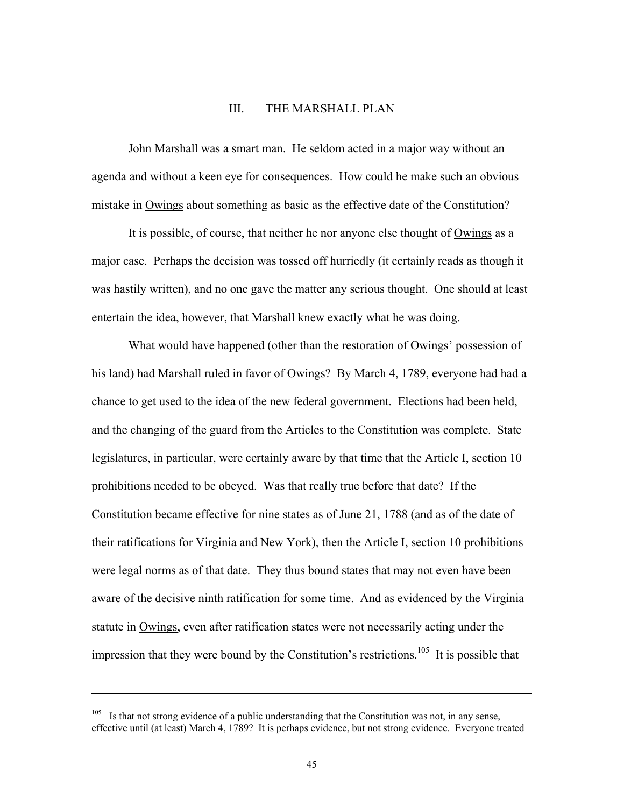#### III. THE MARSHALL PLAN

John Marshall was a smart man. He seldom acted in a major way without an agenda and without a keen eye for consequences. How could he make such an obvious mistake in Owings about something as basic as the effective date of the Constitution?

It is possible, of course, that neither he nor anyone else thought of Owings as a major case. Perhaps the decision was tossed off hurriedly (it certainly reads as though it was hastily written), and no one gave the matter any serious thought. One should at least entertain the idea, however, that Marshall knew exactly what he was doing.

What would have happened (other than the restoration of Owings' possession of his land) had Marshall ruled in favor of Owings? By March 4, 1789, everyone had had a chance to get used to the idea of the new federal government. Elections had been held, and the changing of the guard from the Articles to the Constitution was complete. State legislatures, in particular, were certainly aware by that time that the Article I, section 10 prohibitions needed to be obeyed. Was that really true before that date? If the Constitution became effective for nine states as of June 21, 1788 (and as of the date of their ratifications for Virginia and New York), then the Article I, section 10 prohibitions were legal norms as of that date. They thus bound states that may not even have been aware of the decisive ninth ratification for some time. And as evidenced by the Virginia statute in Owings, even after ratification states were not necessarily acting under the impression that they were bound by the Constitution's restrictions.<sup>105</sup> It is possible that

l

<sup>&</sup>lt;sup>105</sup> Is that not strong evidence of a public understanding that the Constitution was not, in any sense, effective until (at least) March 4, 1789? It is perhaps evidence, but not strong evidence. Everyone treated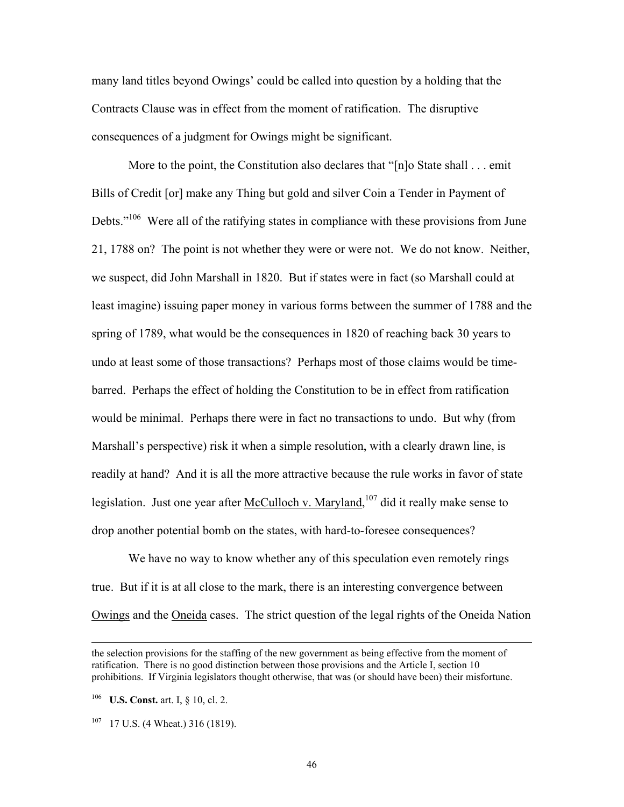many land titles beyond Owings' could be called into question by a holding that the Contracts Clause was in effect from the moment of ratification. The disruptive consequences of a judgment for Owings might be significant.

More to the point, the Constitution also declares that "[n]o State shall . . . emit Bills of Credit [or] make any Thing but gold and silver Coin a Tender in Payment of Debts."<sup>106</sup> Were all of the ratifying states in compliance with these provisions from June 21, 1788 on? The point is not whether they were or were not. We do not know. Neither, we suspect, did John Marshall in 1820. But if states were in fact (so Marshall could at least imagine) issuing paper money in various forms between the summer of 1788 and the spring of 1789, what would be the consequences in 1820 of reaching back 30 years to undo at least some of those transactions? Perhaps most of those claims would be timebarred. Perhaps the effect of holding the Constitution to be in effect from ratification would be minimal. Perhaps there were in fact no transactions to undo. But why (from Marshall's perspective) risk it when a simple resolution, with a clearly drawn line, is readily at hand? And it is all the more attractive because the rule works in favor of state legislation. Just one year after McCulloch v. Maryland, <sup>107</sup> did it really make sense to drop another potential bomb on the states, with hard-to-foresee consequences?

We have no way to know whether any of this speculation even remotely rings true. But if it is at all close to the mark, there is an interesting convergence between Owings and the Oneida cases. The strict question of the legal rights of the Oneida Nation

the selection provisions for the staffing of the new government as being effective from the moment of ratification. There is no good distinction between those provisions and the Article I, section 10 prohibitions. If Virginia legislators thought otherwise, that was (or should have been) their misfortune.

<sup>106</sup> **U.S. Const.** art. I, § 10, cl. 2.

 $107$  17 U.S. (4 Wheat.) 316 (1819).